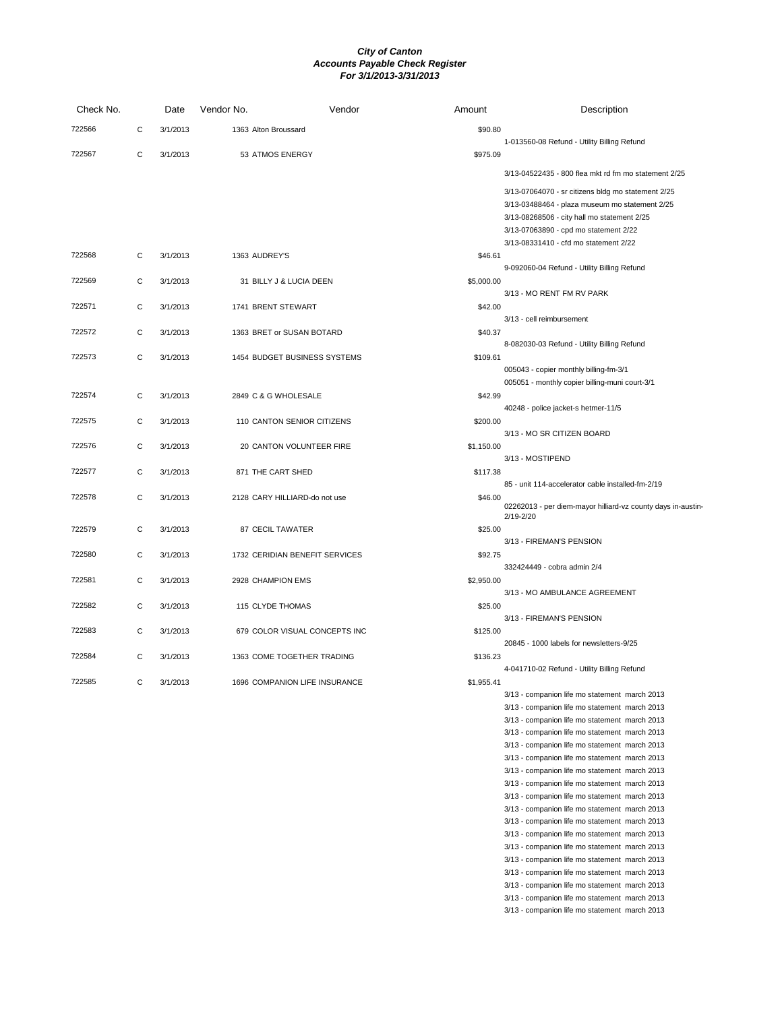| Check No. |   | Date     | Vendor No.                | Vendor                         | Amount     | Description                                                                                                                                                                                                                                                                                                                                                                                                                                                                                                                                                                                              |
|-----------|---|----------|---------------------------|--------------------------------|------------|----------------------------------------------------------------------------------------------------------------------------------------------------------------------------------------------------------------------------------------------------------------------------------------------------------------------------------------------------------------------------------------------------------------------------------------------------------------------------------------------------------------------------------------------------------------------------------------------------------|
| 722566    | С | 3/1/2013 | 1363 Alton Broussard      |                                | \$90.80    |                                                                                                                                                                                                                                                                                                                                                                                                                                                                                                                                                                                                          |
| 722567    | C | 3/1/2013 | 53 ATMOS ENERGY           |                                | \$975.09   | 1-013560-08 Refund - Utility Billing Refund                                                                                                                                                                                                                                                                                                                                                                                                                                                                                                                                                              |
|           |   |          |                           |                                |            | 3/13-04522435 - 800 flea mkt rd fm mo statement 2/25                                                                                                                                                                                                                                                                                                                                                                                                                                                                                                                                                     |
|           |   |          |                           |                                |            | 3/13-07064070 - sr citizens bldg mo statement 2/25<br>3/13-03488464 - plaza museum mo statement 2/25<br>3/13-08268506 - city hall mo statement 2/25<br>3/13-07063890 - cpd mo statement 2/22<br>3/13-08331410 - cfd mo statement 2/22                                                                                                                                                                                                                                                                                                                                                                    |
| 722568    | С | 3/1/2013 | 1363 AUDREY'S             |                                | \$46.61    |                                                                                                                                                                                                                                                                                                                                                                                                                                                                                                                                                                                                          |
| 722569    | С | 3/1/2013 | 31 BILLY J & LUCIA DEEN   |                                | \$5,000.00 | 9-092060-04 Refund - Utility Billing Refund                                                                                                                                                                                                                                                                                                                                                                                                                                                                                                                                                              |
| 722571    | C | 3/1/2013 | 1741 BRENT STEWART        |                                | \$42.00    | 3/13 - MO RENT FM RV PARK                                                                                                                                                                                                                                                                                                                                                                                                                                                                                                                                                                                |
| 722572    | С | 3/1/2013 | 1363 BRET or SUSAN BOTARD |                                | \$40.37    | 3/13 - cell reimbursement                                                                                                                                                                                                                                                                                                                                                                                                                                                                                                                                                                                |
| 722573    | С | 3/1/2013 |                           | 1454 BUDGET BUSINESS SYSTEMS   | \$109.61   | 8-082030-03 Refund - Utility Billing Refund                                                                                                                                                                                                                                                                                                                                                                                                                                                                                                                                                              |
|           |   |          |                           |                                |            | 005043 - copier monthly billing-fm-3/1<br>005051 - monthly copier billing-muni court-3/1                                                                                                                                                                                                                                                                                                                                                                                                                                                                                                                 |
| 722574    | С | 3/1/2013 | 2849 C & G WHOLESALE      |                                | \$42.99    | 40248 - police jacket-s hetmer-11/5                                                                                                                                                                                                                                                                                                                                                                                                                                                                                                                                                                      |
| 722575    | С | 3/1/2013 |                           | 110 CANTON SENIOR CITIZENS     | \$200.00   |                                                                                                                                                                                                                                                                                                                                                                                                                                                                                                                                                                                                          |
| 722576    | C | 3/1/2013 |                           | 20 CANTON VOLUNTEER FIRE       | \$1,150.00 | 3/13 - MO SR CITIZEN BOARD                                                                                                                                                                                                                                                                                                                                                                                                                                                                                                                                                                               |
| 722577    | С | 3/1/2013 | 871 THE CART SHED         |                                | \$117.38   | 3/13 - MOSTIPEND                                                                                                                                                                                                                                                                                                                                                                                                                                                                                                                                                                                         |
| 722578    | C | 3/1/2013 |                           | 2128 CARY HILLIARD-do not use  | \$46.00    | 85 - unit 114-accelerator cable installed-fm-2/19<br>02262013 - per diem-mayor hilliard-vz county days in-austin-<br>$2/19 - 2/20$                                                                                                                                                                                                                                                                                                                                                                                                                                                                       |
| 722579    | C | 3/1/2013 | 87 CECIL TAWATER          |                                | \$25.00    |                                                                                                                                                                                                                                                                                                                                                                                                                                                                                                                                                                                                          |
| 722580    | С | 3/1/2013 |                           | 1732 CERIDIAN BENEFIT SERVICES | \$92.75    | 3/13 - FIREMAN'S PENSION                                                                                                                                                                                                                                                                                                                                                                                                                                                                                                                                                                                 |
| 722581    | C | 3/1/2013 | 2928 CHAMPION EMS         |                                | \$2,950.00 | 332424449 - cobra admin 2/4                                                                                                                                                                                                                                                                                                                                                                                                                                                                                                                                                                              |
| 722582    | C | 3/1/2013 | 115 CLYDE THOMAS          |                                | \$25.00    | 3/13 - MO AMBULANCE AGREEMENT                                                                                                                                                                                                                                                                                                                                                                                                                                                                                                                                                                            |
| 722583    | C | 3/1/2013 |                           | 679 COLOR VISUAL CONCEPTS INC  | \$125.00   | 3/13 - FIREMAN'S PENSION                                                                                                                                                                                                                                                                                                                                                                                                                                                                                                                                                                                 |
| 722584    |   |          |                           | 1363 COME TOGETHER TRADING     |            | 20845 - 1000 labels for newsletters-9/25                                                                                                                                                                                                                                                                                                                                                                                                                                                                                                                                                                 |
|           | С | 3/1/2013 |                           |                                | \$136.23   | 4-041710-02 Refund - Utility Billing Refund                                                                                                                                                                                                                                                                                                                                                                                                                                                                                                                                                              |
| 722585    | C | 3/1/2013 |                           | 1696 COMPANION LIFE INSURANCE  | \$1,955.41 | 3/13 - companion life mo statement march 2013<br>3/13 - companion life mo statement march 2013<br>3/13 - companion life mo statement march 2013<br>3/13 - companion life mo statement march 2013<br>3/13 - companion life mo statement march 2013<br>3/13 - companion life mo statement march 2013<br>3/13 - companion life mo statement march 2013<br>3/13 - companion life mo statement march 2013<br>3/13 - companion life mo statement march 2013<br>3/13 - companion life mo statement march 2013<br>3/13 - companion life mo statement march 2013<br>3/13 - companion life mo statement march 2013 |
|           |   |          |                           |                                |            | 3/13 - companion life mo statement march 2013<br>3/13 - companion life mo statement march 2013                                                                                                                                                                                                                                                                                                                                                                                                                                                                                                           |

- 3/13 companion life mo statement march 2013 3/13 - companion life mo statement march 2013 3/13 - companion life mo statement march 2013
- 3/13 companion life mo statement march 2013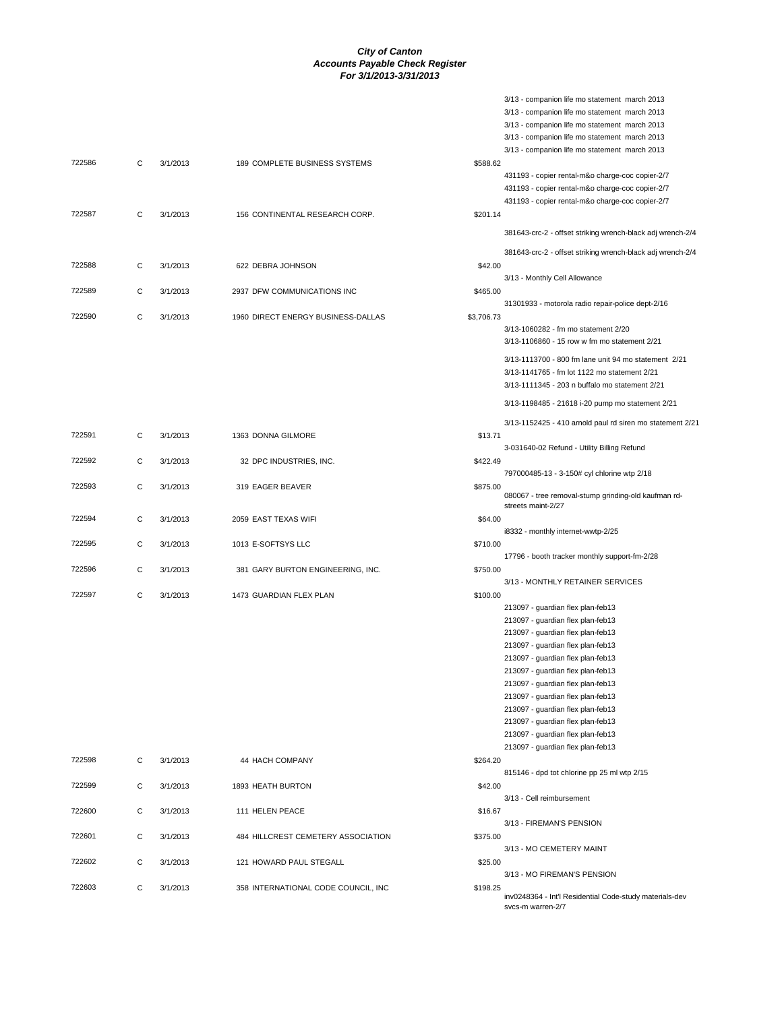|        |   |          |                                      |            | 3/13 - companion life mo statement march 2013                                                  |
|--------|---|----------|--------------------------------------|------------|------------------------------------------------------------------------------------------------|
|        |   |          |                                      |            | 3/13 - companion life mo statement march 2013                                                  |
|        |   |          |                                      |            | 3/13 - companion life mo statement march 2013<br>3/13 - companion life mo statement march 2013 |
|        |   |          |                                      |            | 3/13 - companion life mo statement march 2013                                                  |
| 722586 | C | 3/1/2013 | 189 COMPLETE BUSINESS SYSTEMS        | \$588.62   |                                                                                                |
|        |   |          |                                      |            | 431193 - copier rental-m&o charge-coc copier-2/7                                               |
|        |   |          |                                      |            | 431193 - copier rental-m&o charge-coc copier-2/7                                               |
|        |   |          |                                      |            | 431193 - copier rental-m&o charge-coc copier-2/7                                               |
| 722587 | С | 3/1/2013 | 156 CONTINENTAL RESEARCH CORP.       | \$201.14   |                                                                                                |
|        |   |          |                                      |            | 381643-crc-2 - offset striking wrench-black adj wrench-2/4                                     |
| 722588 | С | 3/1/2013 | 622 DEBRA JOHNSON                    | \$42.00    | 381643-crc-2 - offset striking wrench-black adj wrench-2/4                                     |
| 722589 |   |          |                                      |            | 3/13 - Monthly Cell Allowance                                                                  |
|        | C | 3/1/2013 | 2937 DFW COMMUNICATIONS INC          | \$465.00   | 31301933 - motorola radio repair-police dept-2/16                                              |
| 722590 | C | 3/1/2013 | 1960 DIRECT ENERGY BUSINESS-DALLAS   | \$3,706.73 |                                                                                                |
|        |   |          |                                      |            | 3/13-1060282 - fm mo statement 2/20                                                            |
|        |   |          |                                      |            | 3/13-1106860 - 15 row w fm mo statement 2/21                                                   |
|        |   |          |                                      |            | 3/13-1113700 - 800 fm lane unit 94 mo statement 2/21                                           |
|        |   |          |                                      |            | 3/13-1141765 - fm lot 1122 mo statement 2/21                                                   |
|        |   |          |                                      |            | 3/13-1111345 - 203 n buffalo mo statement 2/21                                                 |
|        |   |          |                                      |            | 3/13-1198485 - 21618 i-20 pump mo statement 2/21                                               |
|        |   |          |                                      |            | 3/13-1152425 - 410 arnold paul rd siren mo statement 2/21                                      |
| 722591 | С | 3/1/2013 | 1363 DONNA GILMORE                   | \$13.71    |                                                                                                |
|        |   |          |                                      |            | 3-031640-02 Refund - Utility Billing Refund                                                    |
| 722592 | С | 3/1/2013 | 32 DPC INDUSTRIES, INC.              | \$422.49   |                                                                                                |
|        |   |          |                                      |            | 797000485-13 - 3-150# cyl chlorine wtp 2/18                                                    |
| 722593 | C | 3/1/2013 | 319 EAGER BEAVER                     | \$875.00   | 080067 - tree removal-stump grinding-old kaufman rd-                                           |
|        |   |          |                                      |            | streets maint-2/27                                                                             |
| 722594 | С | 3/1/2013 | 2059 EAST TEXAS WIFI                 | \$64.00    |                                                                                                |
|        |   |          |                                      |            | i8332 - monthly internet-wwtp-2/25                                                             |
| 722595 | C | 3/1/2013 | 1013 E-SOFTSYS LLC                   | \$710.00   |                                                                                                |
|        |   |          |                                      |            | 17796 - booth tracker monthly support-fm-2/28                                                  |
| 722596 | C | 3/1/2013 | 381 GARY BURTON ENGINEERING, INC.    | \$750.00   | 3/13 - MONTHLY RETAINER SERVICES                                                               |
| 722597 | C | 3/1/2013 | 1473 GUARDIAN FLEX PLAN              | \$100.00   |                                                                                                |
|        |   |          |                                      |            | 213097 - guardian flex plan-feb13                                                              |
|        |   |          |                                      |            | 213097 - guardian flex plan-feb13                                                              |
|        |   |          |                                      |            | 213097 - guardian flex plan-feb13                                                              |
|        |   |          |                                      |            | 213097 - guardian flex plan-feb13                                                              |
|        |   |          |                                      |            | 213097 - guardian flex plan-feb13                                                              |
|        |   |          |                                      |            | 213097 - guardian flex plan-feb13                                                              |
|        |   |          |                                      |            | 213097 - guardian flex plan-feb13                                                              |
|        |   |          |                                      |            | 213097 - guardian flex plan-feb13                                                              |
|        |   |          |                                      |            | 213097 - guardian flex plan-feb13                                                              |
|        |   |          |                                      |            | 213097 - guardian flex plan-feb13                                                              |
|        |   |          |                                      |            | 213097 - guardian flex plan-feb13<br>213097 - guardian flex plan-feb13                         |
| 722598 | С | 3/1/2013 | 44 HACH COMPANY                      | \$264.20   |                                                                                                |
|        |   |          |                                      |            | 815146 - dpd tot chlorine pp 25 ml wtp 2/15                                                    |
| 722599 | C | 3/1/2013 | 1893 HEATH BURTON                    | \$42.00    |                                                                                                |
|        |   |          |                                      |            | 3/13 - Cell reimbursement                                                                      |
| 722600 | C | 3/1/2013 | 111 HELEN PEACE                      | \$16.67    |                                                                                                |
|        |   |          |                                      |            | 3/13 - FIREMAN'S PENSION                                                                       |
| 722601 | C | 3/1/2013 | 484 HILLCREST CEMETERY ASSOCIATION   | \$375.00   |                                                                                                |
| 722602 | C | 3/1/2013 | 121 HOWARD PAUL STEGALL              | \$25.00    | 3/13 - MO CEMETERY MAINT                                                                       |
|        |   |          |                                      |            | 3/13 - MO FIREMAN'S PENSION                                                                    |
| 722603 | C | 3/1/2013 | 358 INTERNATIONAL CODE COUNCIL, INC. | \$198.25   |                                                                                                |
|        |   |          |                                      |            | inv0248364 - Int'l Residential Code-study materials-dev<br>svcs-m warren-2/7                   |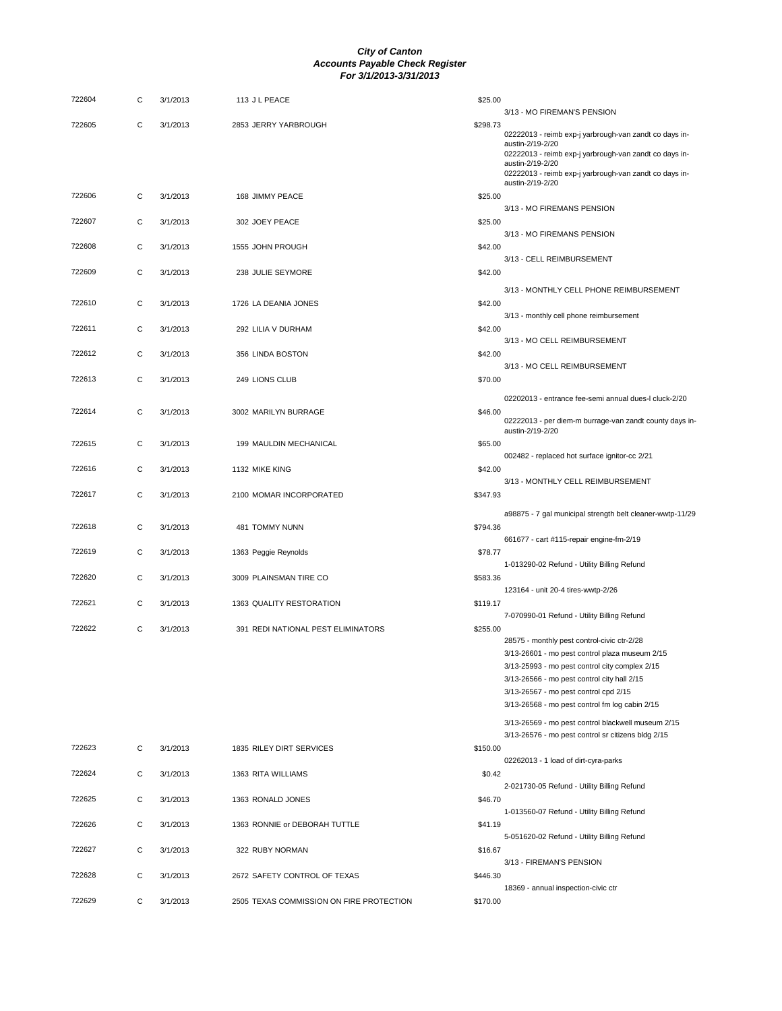| 722604 | С |          | 113 J L PEACE                      | \$25.00                                                                                                  |
|--------|---|----------|------------------------------------|----------------------------------------------------------------------------------------------------------|
| 722605 | С | 3/1/2013 | 2853 JERRY YARBROUGH               | 3/13 - MO FIREMAN'S PENSION<br>\$298.73<br>02222013 - reimb exp-j yarbrough-van zandt co days in-        |
|        |   |          |                                    | austin-2/19-2/20<br>02222013 - reimb exp-j yarbrough-van zandt co days in-                               |
|        |   |          |                                    | austin-2/19-2/20<br>02222013 - reimb exp-j yarbrough-van zandt co days in-<br>austin-2/19-2/20           |
| 722606 | С | 3/1/2013 | 168 JIMMY PEACE                    | \$25.00<br>3/13 - MO FIREMANS PENSION                                                                    |
| 722607 | С | 3/1/2013 | 302 JOEY PEACE                     | \$25.00<br>3/13 - MO FIREMANS PENSION                                                                    |
| 722608 | С | 3/1/2013 | 1555 JOHN PROUGH                   | \$42.00<br>3/13 - CELL REIMBURSEMENT                                                                     |
| 722609 | C | 3/1/2013 | 238 JULIE SEYMORE                  | \$42.00                                                                                                  |
| 722610 | C | 3/1/2013 | 1726 LA DEANIA JONES               | 3/13 - MONTHLY CELL PHONE REIMBURSEMENT<br>\$42.00                                                       |
| 722611 | С | 3/1/2013 | 292 LILIA V DURHAM                 | 3/13 - monthly cell phone reimbursement<br>\$42.00                                                       |
| 722612 | C | 3/1/2013 | 356 LINDA BOSTON                   | 3/13 - MO CELL REIMBURSEMENT<br>\$42.00                                                                  |
| 722613 | C | 3/1/2013 | 249 LIONS CLUB                     | 3/13 - MO CELL REIMBURSEMENT<br>\$70.00                                                                  |
| 722614 | C | 3/1/2013 | 3002 MARILYN BURRAGE               | 02202013 - entrance fee-semi annual dues-l cluck-2/20<br>\$46.00                                         |
|        |   |          |                                    | 02222013 - per diem-m burrage-van zandt county days in-<br>austin-2/19-2/20                              |
| 722615 | С | 3/1/2013 | 199 MAULDIN MECHANICAL             | \$65.00<br>002482 - replaced hot surface ignitor-cc 2/21                                                 |
| 722616 | C | 3/1/2013 | 1132 MIKE KING                     | \$42.00<br>3/13 - MONTHLY CELL REIMBURSEMENT                                                             |
| 722617 | C | 3/1/2013 | 2100 MOMAR INCORPORATED            | \$347.93<br>a98875 - 7 gal municipal strength belt cleaner-wwtp-11/29                                    |
| 722618 | С | 3/1/2013 | 481 TOMMY NUNN                     | \$794.36<br>661677 - cart #115-repair engine-fm-2/19                                                     |
| 722619 | C | 3/1/2013 | 1363 Peggie Reynolds               | \$78.77<br>1-013290-02 Refund - Utility Billing Refund                                                   |
| 722620 | С | 3/1/2013 | 3009 PLAINSMAN TIRE CO             | \$583.36                                                                                                 |
| 722621 |   |          |                                    |                                                                                                          |
|        | С | 3/1/2013 | 1363 QUALITY RESTORATION           | 123164 - unit 20-4 tires-wwtp-2/26<br>\$119.17                                                           |
| 722622 | C | 3/1/2013 | 391 REDI NATIONAL PEST ELIMINATORS | 7-070990-01 Refund - Utility Billing Refund<br>\$255.00                                                  |
|        |   |          |                                    | 28575 - monthly pest control-civic ctr-2/28<br>3/13-26601 - mo pest control plaza museum 2/15            |
|        |   |          |                                    | 3/13-25993 - mo pest control city complex 2/15<br>3/13-26566 - mo pest control city hall 2/15            |
|        |   |          |                                    | 3/13-26567 - mo pest control cpd 2/15<br>3/13-26568 - mo pest control fm log cabin 2/15                  |
|        |   |          |                                    | 3/13-26569 - mo pest control blackwell museum 2/15<br>3/13-26576 - mo pest control sr citizens bldg 2/15 |
| 722623 | С | 3/1/2013 | 1835 RILEY DIRT SERVICES           | \$150.00<br>02262013 - 1 load of dirt-cyra-parks                                                         |
| 722624 | C | 3/1/2013 | 1363 RITA WILLIAMS                 | \$0.42<br>2-021730-05 Refund - Utility Billing Refund                                                    |
| 722625 | C | 3/1/2013 | 1363 RONALD JONES                  | \$46.70<br>1-013560-07 Refund - Utility Billing Refund                                                   |
| 722626 | C | 3/1/2013 | 1363 RONNIE or DEBORAH TUTTLE      | \$41.19<br>5-051620-02 Refund - Utility Billing Refund                                                   |
| 722627 | C | 3/1/2013 | 322 RUBY NORMAN                    | \$16.67<br>3/13 - FIREMAN'S PENSION                                                                      |
| 722628 | С | 3/1/2013 | 2672 SAFETY CONTROL OF TEXAS       | \$446.30<br>18369 - annual inspection-civic ctr                                                          |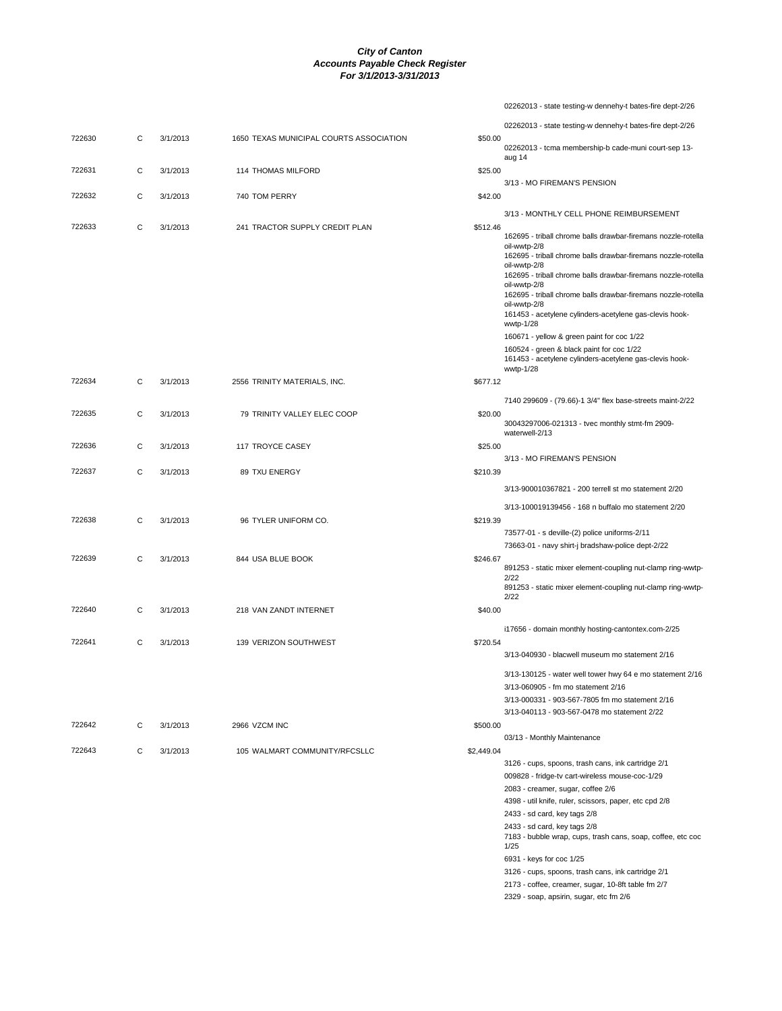|        |   |          |                                         |            | 02262013 - state testing-w dennehy-t bates-fire dept-2/26                                            |
|--------|---|----------|-----------------------------------------|------------|------------------------------------------------------------------------------------------------------|
|        |   |          |                                         |            | 02262013 - state testing-w dennehy-t bates-fire dept-2/26                                            |
| 722630 | C | 3/1/2013 | 1650 TEXAS MUNICIPAL COURTS ASSOCIATION | \$50.00    | 02262013 - tcma membership-b cade-muni court-sep 13-                                                 |
|        |   |          |                                         |            | aug 14                                                                                               |
| 722631 | C | 3/1/2013 | <b>114 THOMAS MILFORD</b>               | \$25.00    | 3/13 - MO FIREMAN'S PENSION                                                                          |
| 722632 | C | 3/1/2013 | 740 TOM PERRY                           | \$42.00    |                                                                                                      |
|        |   |          |                                         |            | 3/13 - MONTHLY CELL PHONE REIMBURSEMENT                                                              |
| 722633 | С | 3/1/2013 | 241 TRACTOR SUPPLY CREDIT PLAN          | \$512.46   |                                                                                                      |
|        |   |          |                                         |            | 162695 - triball chrome balls drawbar-firemans nozzle-rotella<br>oil-wwtp-2/8                        |
|        |   |          |                                         |            | 162695 - triball chrome balls drawbar-firemans nozzle-rotella                                        |
|        |   |          |                                         |            | oil-wwtp-2/8<br>162695 - triball chrome balls drawbar-firemans nozzle-rotella                        |
|        |   |          |                                         |            | oil-wwtp-2/8<br>162695 - triball chrome balls drawbar-firemans nozzle-rotella                        |
|        |   |          |                                         |            | oil-wwtp-2/8                                                                                         |
|        |   |          |                                         |            | 161453 - acetylene cylinders-acetylene gas-clevis hook-<br>wwtp-1/28                                 |
|        |   |          |                                         |            | 160671 - yellow & green paint for coc 1/22                                                           |
|        |   |          |                                         |            | 160524 - green & black paint for coc 1/22<br>161453 - acetylene cylinders-acetylene gas-clevis hook- |
|        |   |          |                                         |            | wwtp-1/28                                                                                            |
| 722634 | C | 3/1/2013 | 2556 TRINITY MATERIALS, INC.            | \$677.12   |                                                                                                      |
|        |   |          |                                         |            | 7140 299609 - (79.66)-1 3/4" flex base-streets maint-2/22                                            |
| 722635 | С | 3/1/2013 | 79 TRINITY VALLEY ELEC COOP             | \$20.00    |                                                                                                      |
|        |   |          |                                         |            | 30043297006-021313 - tvec monthly stmt-fm 2909-<br>waterwell-2/13                                    |
| 722636 | C | 3/1/2013 | 117 TROYCE CASEY                        | \$25.00    |                                                                                                      |
|        |   |          |                                         |            | 3/13 - MO FIREMAN'S PENSION                                                                          |
| 722637 | C | 3/1/2013 | 89 TXU ENERGY                           | \$210.39   |                                                                                                      |
|        |   |          |                                         |            | 3/13-900010367821 - 200 terrell st mo statement 2/20                                                 |
|        |   |          |                                         |            | 3/13-100019139456 - 168 n buffalo mo statement 2/20                                                  |
| 722638 | С | 3/1/2013 | 96 TYLER UNIFORM CO.                    | \$219.39   |                                                                                                      |
|        |   |          |                                         |            | 73577-01 - s deville-(2) police uniforms-2/11<br>73663-01 - navy shirt-j bradshaw-police dept-2/22   |
| 722639 | С | 3/1/2013 | 844 USA BLUE BOOK                       | \$246.67   |                                                                                                      |
|        |   |          |                                         |            | 891253 - static mixer element-coupling nut-clamp ring-wwtp-<br>2/22                                  |
|        |   |          |                                         |            | 891253 - static mixer element-coupling nut-clamp ring-wwtp-                                          |
| 722640 | C | 3/1/2013 | 218 VAN ZANDT INTERNET                  | \$40.00    | 2/22                                                                                                 |
|        |   |          |                                         |            |                                                                                                      |
| 722641 | С | 3/1/2013 | 139 VERIZON SOUTHWEST                   |            | i17656 - domain monthly hosting-cantontex.com-2/25                                                   |
|        |   |          |                                         | \$720.54   | 3/13-040930 - blacwell museum mo statement 2/16                                                      |
|        |   |          |                                         |            |                                                                                                      |
|        |   |          |                                         |            | 3/13-130125 - water well tower hwy 64 e mo statement 2/16<br>3/13-060905 - fm mo statement 2/16      |
|        |   |          |                                         |            | 3/13-000331 - 903-567-7805 fm mo statement 2/16                                                      |
|        |   |          |                                         |            | 3/13-040113 - 903-567-0478 mo statement 2/22                                                         |
| 722642 | С | 3/1/2013 | 2966 VZCM INC                           | \$500.00   |                                                                                                      |
| 722643 | С | 3/1/2013 | 105 WALMART COMMUNITY/RFCSLLC           | \$2,449.04 | 03/13 - Monthly Maintenance                                                                          |
|        |   |          |                                         |            | 3126 - cups, spoons, trash cans, ink cartridge 2/1                                                   |
|        |   |          |                                         |            | 009828 - fridge-tv cart-wireless mouse-coc-1/29                                                      |
|        |   |          |                                         |            | 2083 - creamer, sugar, coffee 2/6                                                                    |
|        |   |          |                                         |            | 4398 - util knife, ruler, scissors, paper, etc cpd 2/8                                               |
|        |   |          |                                         |            | 2433 - sd card, key tags 2/8                                                                         |
|        |   |          |                                         |            | 2433 - sd card, key tags 2/8<br>7183 - bubble wrap, cups, trash cans, soap, coffee, etc coc<br>1/25  |

6931 - keys for coc 1/25

- 3126 cups, spoons, trash cans, ink cartridge 2/1
- 2173 coffee, creamer, sugar, 10-8ft table fm 2/7

2329 - soap, apsirin, sugar, etc fm 2/6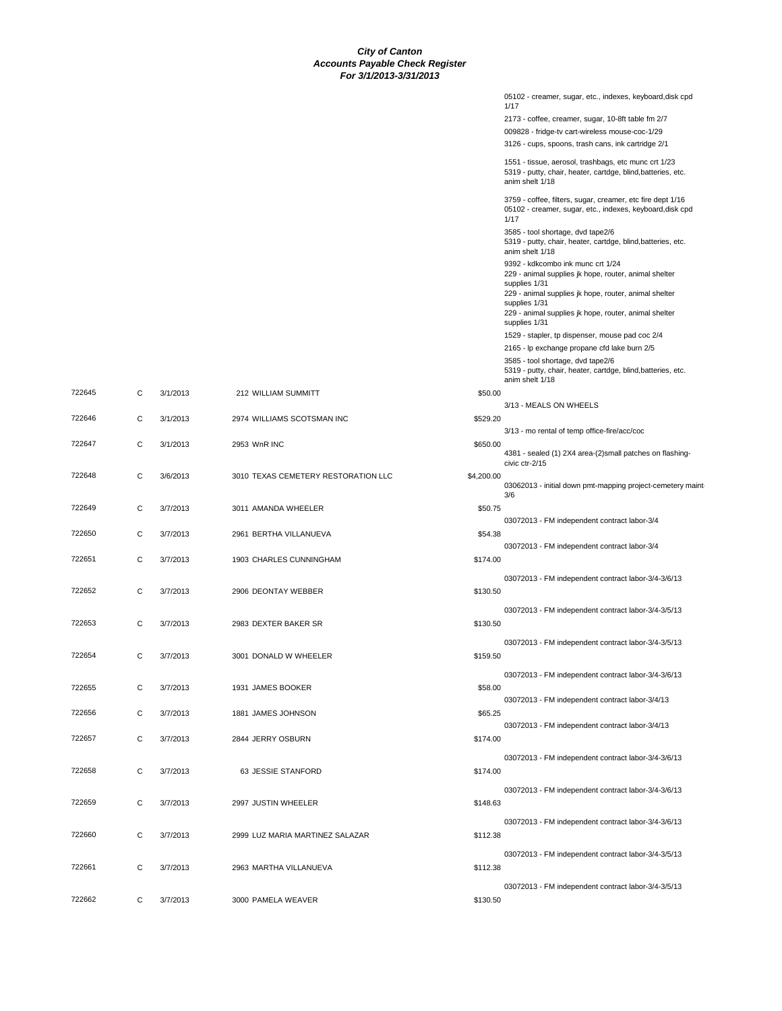|            | 05102 - creamer, sugar, etc., indexes, keyboard,disk cpd<br>1/17                                                                        |
|------------|-----------------------------------------------------------------------------------------------------------------------------------------|
|            | 2173 - coffee, creamer, sugar, 10-8ft table fm 2/7                                                                                      |
|            | 009828 - fridge-tv cart-wireless mouse-coc-1/29                                                                                         |
|            | 3126 - cups, spoons, trash cans, ink cartridge 2/1                                                                                      |
|            | 1551 - tissue, aerosol, trashbags, etc munc crt 1/23<br>5319 - putty, chair, heater, cartdge, blind, batteries, etc.<br>anim shelt 1/18 |
|            | 3759 - coffee, filters, sugar, creamer, etc fire dept 1/16<br>05102 - creamer, sugar, etc., indexes, keyboard,disk cpd<br>1/17          |
|            | 3585 - tool shortage, dvd tape2/6<br>5319 - putty, chair, heater, cartdge, blind, batteries, etc.<br>anim shelt 1/18                    |
|            | 9392 - kdkcombo ink munc crt 1/24<br>229 - animal supplies jk hope, router, animal shelter<br>supplies 1/31                             |
|            | 229 - animal supplies jk hope, router, animal shelter<br>supplies 1/31<br>229 - animal supplies jk hope, router, animal shelter         |
|            | supplies 1/31<br>1529 - stapler, tp dispenser, mouse pad coc 2/4                                                                        |
|            | 2165 - Ip exchange propane cfd lake burn 2/5                                                                                            |
|            | 3585 - tool shortage, dvd tape2/6<br>5319 - putty, chair, heater, cartdge, blind, batteries, etc.<br>anim shelt 1/18                    |
| \$50.00    | 3/13 - MEALS ON WHEELS                                                                                                                  |
| \$529.20   | 3/13 - mo rental of temp office-fire/acc/coc                                                                                            |
| \$650.00   | 4381 - sealed (1) 2X4 area-(2) small patches on flashing-<br>civic ctr-2/15                                                             |
| \$4,200.00 | 03062013 - initial down pmt-mapping project-cemetery maint-<br>3/6                                                                      |
| \$50.75    | 03072013 - FM independent contract labor-3/4                                                                                            |
| \$54.38    | 03072013 - FM independent contract labor-3/4                                                                                            |
| \$174.00   | 03072013 - FM independent contract labor-3/4-3/6/13                                                                                     |
| \$130.50   |                                                                                                                                         |
| \$130.50   | 03072013 - FM independent contract labor-3/4-3/5/13                                                                                     |
| \$159.50   | 03072013 - FM independent contract labor-3/4-3/5/13                                                                                     |
| \$58.00    | 03072013 - FM independent contract labor-3/4-3/6/13                                                                                     |
| \$65.25    | 03072013 - FM independent contract labor-3/4/13                                                                                         |
| \$174.00   | 03072013 - FM independent contract labor-3/4/13                                                                                         |
|            | 03072013 - FM independent contract labor-3/4-3/6/13                                                                                     |
| \$174.00   |                                                                                                                                         |
| \$148.63   | 03072013 - FM independent contract labor-3/4-3/6/13                                                                                     |
| \$112.38   | 03072013 - FM independent contract labor-3/4-3/6/13                                                                                     |
| \$112.38   | 03072013 - FM independent contract labor-3/4-3/5/13                                                                                     |
| \$130.50   | 03072013 - FM independent contract labor-3/4-3/5/13                                                                                     |

| 722646 | C | 3/1/2013 | 2974 WILLIAMS SCOTSMAN INC          | \$529.20   |
|--------|---|----------|-------------------------------------|------------|
| 722647 | C | 3/1/2013 | 2953 WnR INC                        | \$650.00   |
| 722648 | C | 3/6/2013 | 3010 TEXAS CEMETERY RESTORATION LLC | \$4,200.00 |
| 722649 | С | 3/7/2013 | 3011 AMANDA WHEELER                 | \$50.75    |
| 722650 | С | 3/7/2013 | 2961 BERTHA VILLANUEVA              | \$54.38    |
| 722651 | C | 3/7/2013 | 1903 CHARLES CUNNINGHAM             | \$174.00   |
| 722652 | C | 3/7/2013 | 2906 DEONTAY WEBBER                 | \$130.50   |
| 722653 | C | 3/7/2013 | 2983 DEXTER BAKER SR                | \$130.50   |
| 722654 | C | 3/7/2013 | 3001 DONALD W WHEELER               | \$159.50   |
| 722655 | C | 3/7/2013 | 1931 JAMES BOOKER                   | \$58.00    |
| 722656 | C | 3/7/2013 | 1881 JAMES JOHNSON                  | \$65.25    |
| 722657 | C | 3/7/2013 | 2844 JERRY OSBURN                   | \$174.00   |
| 722658 | C | 3/7/2013 | 63 JESSIE STANFORD                  | \$174.00   |
| 722659 | C | 3/7/2013 | 2997 JUSTIN WHEELER                 | \$148.63   |
| 722660 | C | 3/7/2013 | 2999 LUZ MARIA MARTINEZ SALAZAR     | \$112.38   |
| 722661 | C | 3/7/2013 | 2963 MARTHA VILLANUEVA              | \$112.38   |
| 722662 | C | 3/7/2013 | 3000 PAMELA WEAVER                  | \$130.50   |

722645 C 3/1/2013 212 WILLIAM SUMMITT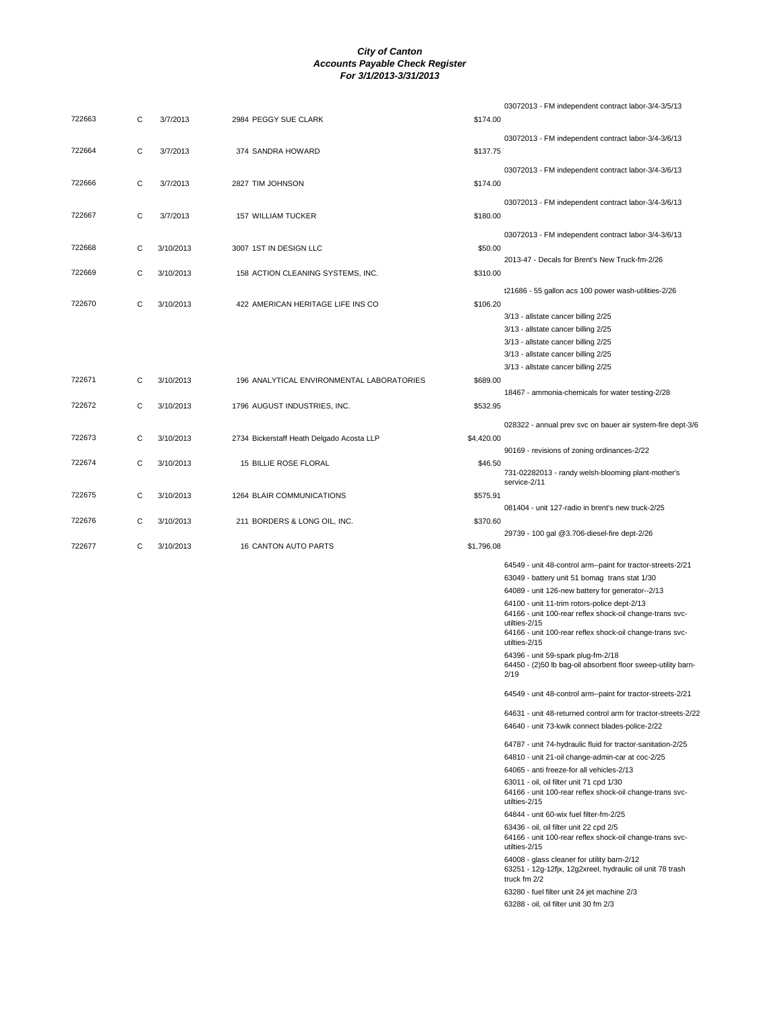|        |   |           |                                           |            | 03072013 - FM independent contract labor-3/4-3/5/13                                                                       |
|--------|---|-----------|-------------------------------------------|------------|---------------------------------------------------------------------------------------------------------------------------|
| 722663 | С | 3/7/2013  | 2984 PEGGY SUE CLARK                      | \$174.00   |                                                                                                                           |
| 722664 | С | 3/7/2013  | 374 SANDRA HOWARD                         | \$137.75   | 03072013 - FM independent contract labor-3/4-3/6/13                                                                       |
|        |   |           |                                           |            | 03072013 - FM independent contract labor-3/4-3/6/13                                                                       |
| 722666 | С | 3/7/2013  | 2827 TIM JOHNSON                          | \$174.00   |                                                                                                                           |
| 722667 | C | 3/7/2013  | 157 WILLIAM TUCKER                        | \$180.00   | 03072013 - FM independent contract labor-3/4-3/6/13                                                                       |
|        |   |           |                                           |            |                                                                                                                           |
|        |   |           |                                           |            | 03072013 - FM independent contract labor-3/4-3/6/13                                                                       |
| 722668 | C | 3/10/2013 | 3007 1ST IN DESIGN LLC                    | \$50.00    | 2013-47 - Decals for Brent's New Truck-fm-2/26                                                                            |
| 722669 | C | 3/10/2013 | 158 ACTION CLEANING SYSTEMS, INC.         | \$310.00   |                                                                                                                           |
|        |   |           |                                           |            | t21686 - 55 gallon acs 100 power wash-utilities-2/26                                                                      |
| 722670 | C | 3/10/2013 | 422 AMERICAN HERITAGE LIFE INS CO         | \$106.20   |                                                                                                                           |
|        |   |           |                                           |            | 3/13 - allstate cancer billing 2/25                                                                                       |
|        |   |           |                                           |            | 3/13 - allstate cancer billing 2/25                                                                                       |
|        |   |           |                                           |            | 3/13 - allstate cancer billing 2/25                                                                                       |
|        |   |           |                                           |            | 3/13 - allstate cancer billing 2/25                                                                                       |
|        |   |           |                                           |            | 3/13 - allstate cancer billing 2/25                                                                                       |
| 722671 | C | 3/10/2013 | 196 ANALYTICAL ENVIRONMENTAL LABORATORIES | \$689.00   |                                                                                                                           |
|        |   |           |                                           |            | 18467 - ammonia-chemicals for water testing-2/28                                                                          |
| 722672 | C | 3/10/2013 | 1796 AUGUST INDUSTRIES, INC.              | \$532.95   |                                                                                                                           |
|        |   |           |                                           |            |                                                                                                                           |
| 722673 |   |           |                                           |            | 028322 - annual prev svc on bauer air system-fire dept-3/6                                                                |
|        | C | 3/10/2013 | 2734 Bickerstaff Heath Delgado Acosta LLP | \$4,420.00 | 90169 - revisions of zoning ordinances-2/22                                                                               |
| 722674 | C | 3/10/2013 | 15 BILLIE ROSE FLORAL                     | \$46.50    |                                                                                                                           |
|        |   |           |                                           |            | 731-02282013 - randy welsh-blooming plant-mother's                                                                        |
|        |   |           |                                           |            | service-2/11                                                                                                              |
| 722675 | C | 3/10/2013 | 1264 BLAIR COMMUNICATIONS                 | \$575.91   |                                                                                                                           |
|        |   |           |                                           |            | 081404 - unit 127-radio in brent's new truck-2/25                                                                         |
| 722676 | C | 3/10/2013 | 211 BORDERS & LONG OIL, INC.              | \$370.60   | 29739 - 100 gal @3.706-diesel-fire dept-2/26                                                                              |
| 722677 | C | 3/10/2013 | <b>16 CANTON AUTO PARTS</b>               | \$1,796.08 |                                                                                                                           |
|        |   |           |                                           |            |                                                                                                                           |
|        |   |           |                                           |            | 64549 - unit 48-control arm--paint for tractor-streets-2/21                                                               |
|        |   |           |                                           |            | 63049 - battery unit 51 bomag trans stat 1/30                                                                             |
|        |   |           |                                           |            | 64089 - unit 126-new battery for generator--2/13                                                                          |
|        |   |           |                                           |            | 64100 - unit 11-trim rotors-police dept-2/13<br>64166 - unit 100-rear reflex shock-oil change-trans svc-<br>utilties-2/15 |
|        |   |           |                                           |            | 64166 - unit 100-rear reflex shock-oil change-trans svc-<br>utilties-2/15                                                 |
|        |   |           |                                           |            | 64396 - unit 59-spark plug-fm-2/18                                                                                        |
|        |   |           |                                           |            | 64450 - (2)50 lb bag-oil absorbent floor sweep-utility barn-<br>2/19                                                      |
|        |   |           |                                           |            | 64549 - unit 48-control arm--paint for tractor-streets-2/21                                                               |
|        |   |           |                                           |            | 64631 - unit 48-returned control arm for tractor-streets-2/22                                                             |
|        |   |           |                                           |            | 64640 - unit 73-kwik connect blades-police-2/22                                                                           |
|        |   |           |                                           |            | 64787 - unit 74-hydraulic fluid for tractor-sanitation-2/25                                                               |
|        |   |           |                                           |            | 64810 - unit 21-oil change-admin-car at coc-2/25                                                                          |
|        |   |           |                                           |            | 64065 - anti freeze-for all vehicles-2/13                                                                                 |
|        |   |           |                                           |            | 63011 - oil, oil filter unit 71 cpd 1/30                                                                                  |
|        |   |           |                                           |            | 64166 - unit 100-rear reflex shock-oil change-trans svc-<br>utilties-2/15                                                 |
|        |   |           |                                           |            | 64844 - unit 60-wix fuel filter-fm-2/25                                                                                   |
|        |   |           |                                           |            | 63436 - oil, oil filter unit 22 cpd 2/5                                                                                   |
|        |   |           |                                           |            | 64166 - unit 100-rear reflex shock-oil change-trans svc-<br>utilties-2/15                                                 |
|        |   |           |                                           |            | 64008 - glass cleaner for utility barn-2/12                                                                               |
|        |   |           |                                           |            | 63251 - 12g-12fjx, 12g2xreel, hydraulic oil unit 78 trash<br>truck fm 2/2                                                 |
|        |   |           |                                           |            | 63280 - fuel filter unit 24 jet machine 2/3                                                                               |

63288 - oil, oil filter unit 30 fm 2/3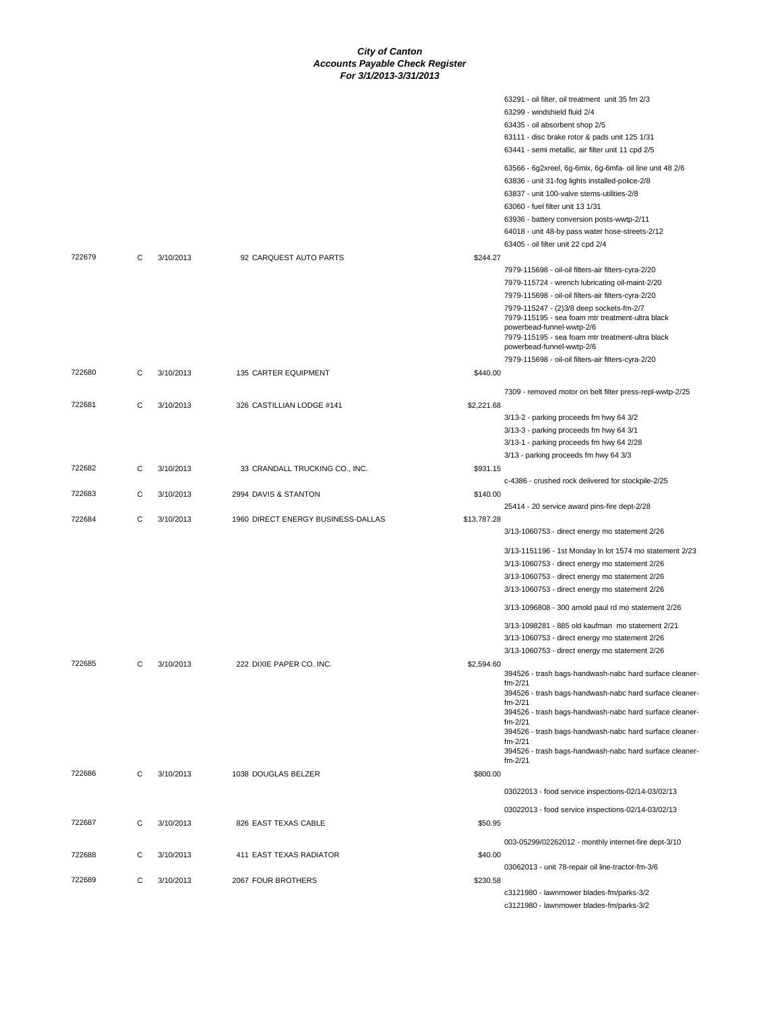|        |   |           |                                    |             | 63291 - oil filter, oil treatment unit 35 fm 2/3                                      |
|--------|---|-----------|------------------------------------|-------------|---------------------------------------------------------------------------------------|
|        |   |           |                                    |             | 63299 - windshield fluid 2/4                                                          |
|        |   |           |                                    |             | 63435 - oil absorbent shop 2/5                                                        |
|        |   |           |                                    |             | 63111 - disc brake rotor & pads unit 125 1/31                                         |
|        |   |           |                                    |             | 63441 - semi metallic, air filter unit 11 cpd 2/5                                     |
|        |   |           |                                    |             | 63566 - 6g2xreel, 6g-6mix, 6g-6mfa- oil line unit 48 2/6                              |
|        |   |           |                                    |             | 63836 - unit 31-fog lights installed-police-2/8                                       |
|        |   |           |                                    |             | 63837 - unit 100-valve stems-utilities-2/8                                            |
|        |   |           |                                    |             | 63060 - fuel filter unit 13 1/31                                                      |
|        |   |           |                                    |             | 63936 - battery conversion posts-wwtp-2/11                                            |
|        |   |           |                                    |             | 64018 - unit 48-by pass water hose-streets-2/12<br>63405 - oil filter unit 22 cpd 2/4 |
| 722679 | С | 3/10/2013 | 92 CARQUEST AUTO PARTS             | \$244.27    |                                                                                       |
|        |   |           |                                    |             | 7979-115698 - oil-oil filters-air filters-cyra-2/20                                   |
|        |   |           |                                    |             | 7979-115724 - wrench lubricating oil-maint-2/20                                       |
|        |   |           |                                    |             | 7979-115698 - oil-oil filters-air filters-cyra-2/20                                   |
|        |   |           |                                    |             | 7979-115247 - (2)3/8 deep sockets-fm-2/7                                              |
|        |   |           |                                    |             | 7979-115195 - sea foam mtr treatment-ultra black<br>powerbead-funnel-wwtp-2/6         |
|        |   |           |                                    |             | 7979-115195 - sea foam mtr treatment-ultra black                                      |
|        |   |           |                                    |             | powerbead-funnel-wwtp-2/6                                                             |
| 722680 | С | 3/10/2013 |                                    | \$440.00    | 7979-115698 - oil-oil filters-air filters-cyra-2/20                                   |
|        |   |           | 135 CARTER EQUIPMENT               |             |                                                                                       |
|        |   |           |                                    |             | 7309 - removed motor on belt filter press-repl-wwtp-2/25                              |
| 722681 | С | 3/10/2013 | 326 CASTILLIAN LODGE #141          | \$2,221.68  |                                                                                       |
|        |   |           |                                    |             | 3/13-2 - parking proceeds fm hwy 64 3/2                                               |
|        |   |           |                                    |             | 3/13-3 - parking proceeds fm hwy 64 3/1<br>3/13-1 - parking proceeds fm hwy 64 2/28   |
|        |   |           |                                    |             | 3/13 - parking proceeds fm hwy 64 3/3                                                 |
| 722682 | С | 3/10/2013 | 33 CRANDALL TRUCKING CO., INC.     | \$931.15    |                                                                                       |
|        |   |           |                                    |             | c-4386 - crushed rock delivered for stockpile-2/25                                    |
| 722683 | С | 3/10/2013 | 2994 DAVIS & STANTON               | \$140.00    |                                                                                       |
|        |   |           |                                    |             | 25414 - 20 service award pins-fire dept-2/28                                          |
| 722684 | C | 3/10/2013 | 1960 DIRECT ENERGY BUSINESS-DALLAS | \$13,787.28 |                                                                                       |
|        |   |           |                                    |             | 3/13-1060753 - direct energy mo statement 2/26                                        |
|        |   |           |                                    |             | 3/13-1151196 - 1st Monday In lot 1574 mo statement 2/23                               |
|        |   |           |                                    |             | 3/13-1060753 - direct energy mo statement 2/26                                        |
|        |   |           |                                    |             | 3/13-1060753 - direct energy mo statement 2/26                                        |
|        |   |           |                                    |             | 3/13-1060753 - direct energy mo statement 2/26                                        |
|        |   |           |                                    |             | 3/13-1096808 - 300 arnold paul rd mo statement 2/26                                   |
|        |   |           |                                    |             | 3/13-1098281 - 885 old kaufman mo statement 2/21                                      |
|        |   |           |                                    |             | 3/13-1060753 - direct energy mo statement 2/26                                        |
|        |   |           |                                    |             | 3/13-1060753 - direct energy mo statement 2/26                                        |
| 722685 | С | 3/10/2013 | 222 DIXIE PAPER CO. INC.           | \$2,594.60  | 394526 - trash bags-handwash-nabc hard surface cleaner-                               |
|        |   |           |                                    |             | fm-2/21                                                                               |
|        |   |           |                                    |             | 394526 - trash bags-handwash-nabc hard surface cleaner-<br>fm-2/21                    |
|        |   |           |                                    |             | 394526 - trash bags-handwash-nabc hard surface cleaner-                               |
|        |   |           |                                    |             | fm-2/21                                                                               |
|        |   |           |                                    |             | 394526 - trash bags-handwash-nabc hard surface cleaner-<br>fm-2/21                    |
|        |   |           |                                    |             | 394526 - trash bags-handwash-nabc hard surface cleaner-                               |
| 722686 | С | 3/10/2013 | 1038 DOUGLAS BELZER                | \$800.00    | $fm - 2/21$                                                                           |
|        |   |           |                                    |             |                                                                                       |
|        |   |           |                                    |             | 03022013 - food service inspections-02/14-03/02/13                                    |
|        |   |           |                                    |             | 03022013 - food service inspections-02/14-03/02/13                                    |
| 722687 | С | 3/10/2013 | 826 EAST TEXAS CABLE               | \$50.95     |                                                                                       |
|        |   |           |                                    |             | 003-05299/02262012 - monthly internet-fire dept-3/10                                  |
| 722688 | С | 3/10/2013 | 411 EAST TEXAS RADIATOR            | \$40.00     |                                                                                       |
|        |   |           |                                    |             | 03062013 - unit 78-repair oil line-tractor-fm-3/6                                     |
| 722689 | С | 3/10/2013 | 2067 FOUR BROTHERS                 | \$230.58    |                                                                                       |
|        |   |           |                                    |             | c3121980 - lawnmower blades-fm/parks-3/2                                              |
|        |   |           |                                    |             | c3121980 - lawnmower blades-fm/parks-3/2                                              |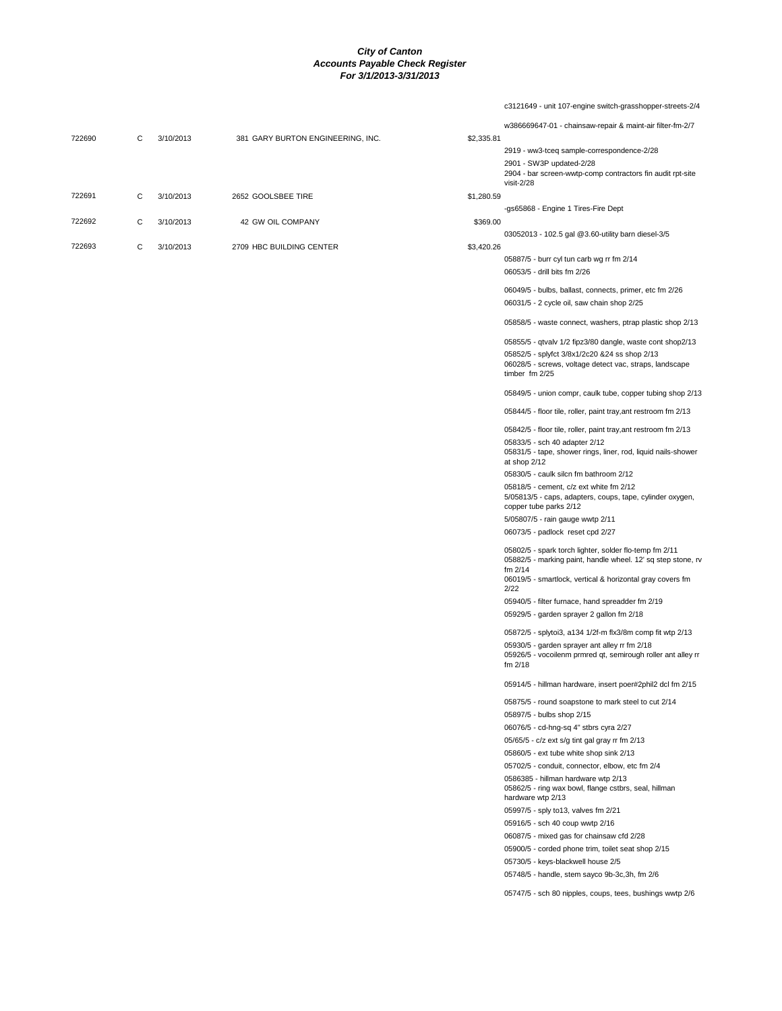c3121649 - unit 107-engine switch-grasshopper-streets-2/4

|        |   |           |                                   |            | w386669647-01 - chainsaw-repair & maint-air filter-fm-2/7                                                                  |
|--------|---|-----------|-----------------------------------|------------|----------------------------------------------------------------------------------------------------------------------------|
| 722690 | С | 3/10/2013 | 381 GARY BURTON ENGINEERING, INC. | \$2,335.81 |                                                                                                                            |
|        |   |           |                                   |            | 2919 - ww3-tceq sample-correspondence-2/28                                                                                 |
|        |   |           |                                   |            | 2901 - SW3P updated-2/28                                                                                                   |
|        |   |           |                                   |            | 2904 - bar screen-wwtp-comp contractors fin audit rpt-site                                                                 |
|        |   |           |                                   |            | $visit-2/28$                                                                                                               |
| 722691 | С | 3/10/2013 | 2652 GOOLSBEE TIRE                | \$1,280.59 |                                                                                                                            |
|        |   |           |                                   |            | -gs65868 - Engine 1 Tires-Fire Dept                                                                                        |
| 722692 | С | 3/10/2013 | 42 GW OIL COMPANY                 | \$369.00   |                                                                                                                            |
|        |   |           |                                   |            | 03052013 - 102.5 gal @3.60-utility barn diesel-3/5                                                                         |
| 722693 | С | 3/10/2013 | 2709 HBC BUILDING CENTER          | \$3,420.26 |                                                                                                                            |
|        |   |           |                                   |            | 05887/5 - burr cyl tun carb wg rr fm 2/14                                                                                  |
|        |   |           |                                   |            | 06053/5 - drill bits fm 2/26                                                                                               |
|        |   |           |                                   |            | 06049/5 - bulbs, ballast, connects, primer, etc fm 2/26                                                                    |
|        |   |           |                                   |            | 06031/5 - 2 cycle oil, saw chain shop 2/25                                                                                 |
|        |   |           |                                   |            |                                                                                                                            |
|        |   |           |                                   |            | 05858/5 - waste connect, washers, ptrap plastic shop 2/13                                                                  |
|        |   |           |                                   |            | 05855/5 - qtvalv 1/2 fipz3/80 dangle, waste cont shop2/13                                                                  |
|        |   |           |                                   |            | 05852/5 - splyfct 3/8x1/2c20 &24 ss shop 2/13<br>06028/5 - screws, voltage detect vac, straps, landscape<br>timber fm 2/25 |
|        |   |           |                                   |            | 05849/5 - union compr, caulk tube, copper tubing shop 2/13                                                                 |
|        |   |           |                                   |            | 05844/5 - floor tile, roller, paint tray, ant restroom fm 2/13                                                             |
|        |   |           |                                   |            |                                                                                                                            |
|        |   |           |                                   |            | 05842/5 - floor tile, roller, paint tray, ant restroom fm 2/13                                                             |
|        |   |           |                                   |            | 05833/5 - sch 40 adapter 2/12<br>05831/5 - tape, shower rings, liner, rod, liquid nails-shower<br>at shop 2/12             |
|        |   |           |                                   |            | 05830/5 - caulk silcn fm bathroom 2/12                                                                                     |
|        |   |           |                                   |            | 05818/5 - cement, c/z ext white fm 2/12                                                                                    |
|        |   |           |                                   |            | 5/05813/5 - caps, adapters, coups, tape, cylinder oxygen,<br>copper tube parks 2/12                                        |
|        |   |           |                                   |            | 5/05807/5 - rain gauge wwtp 2/11                                                                                           |
|        |   |           |                                   |            | 06073/5 - padlock reset cpd 2/27                                                                                           |
|        |   |           |                                   |            | 05802/5 - spark torch lighter, solder flo-temp fm 2/11<br>05882/5 - marking paint, handle wheel. 12' sq step stone, rv     |
|        |   |           |                                   |            | fm 2/14<br>06019/5 - smartlock, vertical & horizontal gray covers fm<br>2/22                                               |
|        |   |           |                                   |            | 05940/5 - filter furnace, hand spreadder fm 2/19                                                                           |
|        |   |           |                                   |            | 05929/5 - garden sprayer 2 gallon fm 2/18                                                                                  |
|        |   |           |                                   |            |                                                                                                                            |
|        |   |           |                                   |            | 05872/5 - splytoi3, a134 1/2f-m flx3/8m comp fit wtp 2/13                                                                  |
|        |   |           |                                   |            | 05930/5 - garden sprayer ant alley rr fm 2/18<br>05926/5 - vocoilenm prmred qt, semirough roller ant alley rr<br>fm 2/18   |
|        |   |           |                                   |            | 05914/5 - hillman hardware, insert poer#2phil2 dcl fm 2/15                                                                 |
|        |   |           |                                   |            | 05875/5 - round soapstone to mark steel to cut 2/14                                                                        |
|        |   |           |                                   |            | 05897/5 - bulbs shop 2/15                                                                                                  |
|        |   |           |                                   |            | 06076/5 - cd-hng-sq 4" stbrs cyra 2/27                                                                                     |
|        |   |           |                                   |            | 05/65/5 - c/z ext s/g tint gal gray rr fm 2/13                                                                             |
|        |   |           |                                   |            | 05860/5 - ext tube white shop sink 2/13                                                                                    |
|        |   |           |                                   |            | 05702/5 - conduit, connector, elbow, etc fm 2/4                                                                            |
|        |   |           |                                   |            | 0586385 - hillman hardware wtp 2/13<br>05862/5 - ring wax bowl, flange cstbrs, seal, hillman<br>hardware wtp 2/13          |
|        |   |           |                                   |            | 05997/5 - sply to 13, valves fm 2/21                                                                                       |
|        |   |           |                                   |            | 05916/5 - sch 40 coup wwtp 2/16                                                                                            |
|        |   |           |                                   |            | 06087/5 - mixed gas for chainsaw cfd 2/28                                                                                  |
|        |   |           |                                   |            | 05900/5 - corded phone trim, toilet seat shop 2/15                                                                         |
|        |   |           |                                   |            | 05730/5 - keys-blackwell house 2/5                                                                                         |
|        |   |           |                                   |            | 05748/5 - handle, stem sayco 9b-3c,3h, fm 2/6                                                                              |
|        |   |           |                                   |            | 05747/5 - sch 80 nipples, coups, tees, bushings wwtp 2/6                                                                   |
|        |   |           |                                   |            |                                                                                                                            |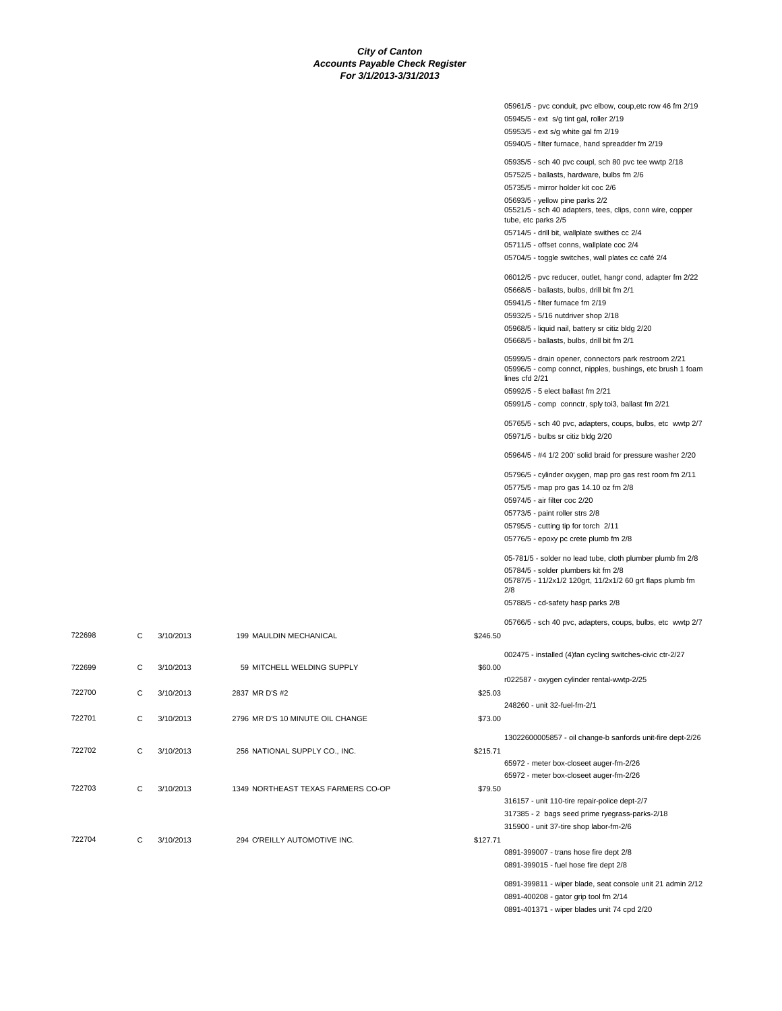|          | 05961/5 - pvc conduit, pvc elbow, coup, etc row 46 fm 2/19                                       |
|----------|--------------------------------------------------------------------------------------------------|
|          | 05945/5 - ext s/g tint gal, roller 2/19                                                          |
|          | 05953/5 - ext s/g white gal fm 2/19                                                              |
|          | 05940/5 - filter furnace, hand spreadder fm 2/19                                                 |
|          | 05935/5 - sch 40 pvc coupl, sch 80 pvc tee wwtp 2/18                                             |
|          | 05752/5 - ballasts, hardware, bulbs fm 2/6                                                       |
|          | 05735/5 - mirror holder kit coc 2/6                                                              |
|          | 05693/5 - yellow pine parks 2/2                                                                  |
|          | 05521/5 - sch 40 adapters, tees, clips, conn wire, copper<br>tube, etc parks 2/5                 |
|          | 05714/5 - drill bit, wallplate swithes cc 2/4                                                    |
|          | 05711/5 - offset conns, wallplate coc 2/4                                                        |
|          | 05704/5 - toggle switches, wall plates cc café 2/4                                               |
|          | 06012/5 - pvc reducer, outlet, hangr cond, adapter fm 2/22                                       |
|          | 05668/5 - ballasts, bulbs, drill bit fm 2/1                                                      |
|          | 05941/5 - filter furnace fm 2/19                                                                 |
|          | 05932/5 - 5/16 nutdriver shop 2/18                                                               |
|          | 05968/5 - liquid nail, battery sr citiz bldg 2/20                                                |
|          | 05668/5 - ballasts, bulbs, drill bit fm 2/1                                                      |
|          | 05999/5 - drain opener, connectors park restroom 2/21                                            |
|          | 05996/5 - comp connct, nipples, bushings, etc brush 1 foam<br>lines cfd 2/21                     |
|          | 05992/5 - 5 elect ballast fm 2/21                                                                |
|          | 05991/5 - comp connctr, sply toi3, ballast fm 2/21                                               |
|          |                                                                                                  |
|          | 05765/5 - sch 40 pvc, adapters, coups, bulbs, etc wwtp 2/7<br>05971/5 - bulbs sr citiz bldg 2/20 |
|          | 05964/5 - #4 1/2 200' solid braid for pressure washer 2/20                                       |
|          | 05796/5 - cylinder oxygen, map pro gas rest room fm 2/11                                         |
|          | 05775/5 - map pro gas 14.10 oz fm 2/8                                                            |
|          | 05974/5 - air filter coc 2/20                                                                    |
|          | 05773/5 - paint roller strs 2/8                                                                  |
|          | 05795/5 - cutting tip for torch 2/11                                                             |
|          | 05776/5 - epoxy pc crete plumb fm 2/8                                                            |
|          | 05-781/5 - solder no lead tube, cloth plumber plumb fm 2/8                                       |
|          | 05784/5 - solder plumbers kit fm 2/8                                                             |
|          | 05787/5 - 11/2x1/2 120grt, 11/2x1/2 60 grt flaps plumb fm                                        |
|          | 2/8                                                                                              |
|          | 05788/5 - cd-safety hasp parks 2/8                                                               |
|          | 05766/5 - sch 40 pvc, adapters, coups, bulbs, etc wwtp 2/7                                       |
| \$246.50 |                                                                                                  |
|          | 002475 - installed (4)fan cycling switches-civic ctr-2/27                                        |
| \$60.00  |                                                                                                  |
|          | r022587 - oxygen cylinder rental-wwtp-2/25                                                       |
| \$25.03  |                                                                                                  |
|          | 248260 - unit 32-fuel-fm-2/1                                                                     |
| \$73.00  |                                                                                                  |
|          |                                                                                                  |
|          | 13022600005857 - oil change-b sanfords unit-fire dept-2/26                                       |
| \$215.71 | 65972 - meter box-closeet auger-fm-2/26                                                          |
|          | 65972 - meter box-closeet auger-fm-2/26                                                          |
| \$79.50  |                                                                                                  |
|          | 316157 - unit 110-tire repair-police dept-2/7                                                    |
|          | 317385 - 2 bags seed prime ryegrass-parks-2/18                                                   |
|          | 315900 - unit 37-tire shop labor-fm-2/6                                                          |
| \$127.71 |                                                                                                  |
|          | 0891-399007 - trans hose fire dept 2/8                                                           |
|          | 0891-399015 - fuel hose fire dept 2/8                                                            |
|          |                                                                                                  |
|          | 0891-399811 - wiper blade, seat console unit 21 admin 2/12                                       |
|          | 0891-400208 - gator grip tool fm 2/14<br>0891-401371 - wiper blades unit 74 cpd 2/20             |
|          |                                                                                                  |

| 59 MITCHELL WELDING SUPPLY         | C<br>3/10/2013 | 722699 |
|------------------------------------|----------------|--------|
| 2837 MR D'S #2                     | C<br>3/10/2013 | 722700 |
| 2796 MR D'S 10 MINUTE OIL CHANGE   | C<br>3/10/2013 | 722701 |
| 256 NATIONAL SUPPLY CO., INC.      | C<br>3/10/2013 | 722702 |
| 1349 NORTHEAST TEXAS FARMERS CO-OP | C<br>3/10/2013 | 722703 |
| 294 O'REILLY AUTOMOTIVE INC.       | C<br>3/10/2013 | 722704 |
|                                    |                |        |

722698 C 3/10/2013 199 MAULDIN MECHANICAL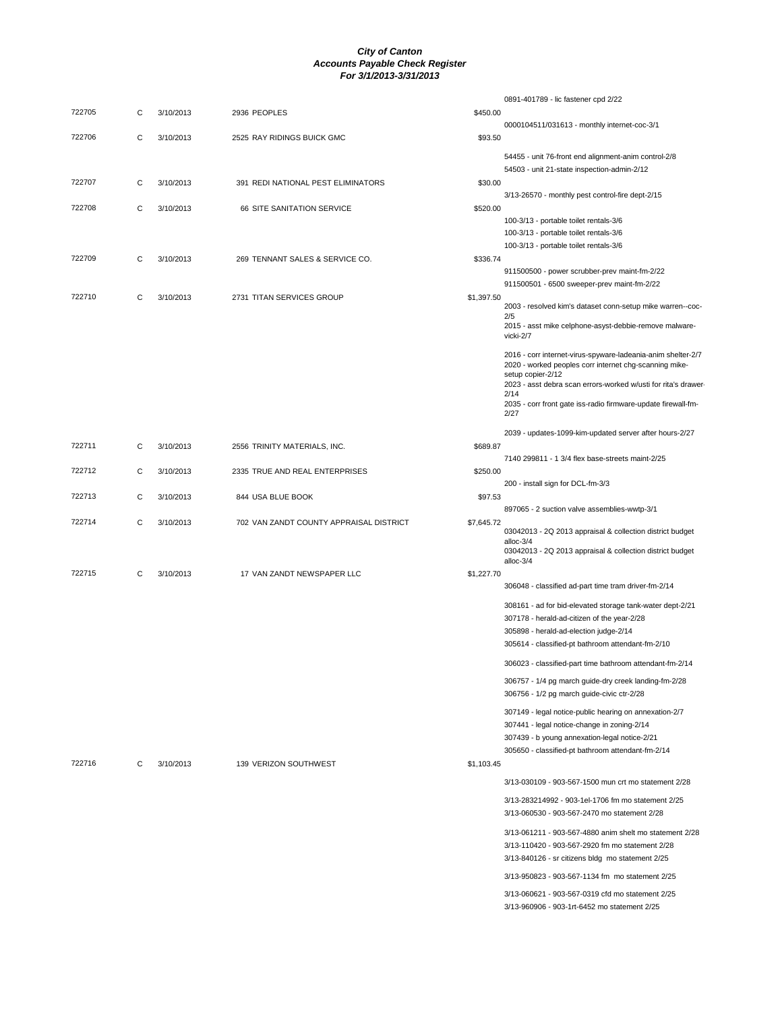| 722705<br>2936 PEOPLES<br>\$450.00<br>С<br>3/10/2013<br>0000104511/031613 - monthly internet-coc-3/1<br>722706<br>С<br>3/10/2013<br>2525 RAY RIDINGS BUICK GMC<br>\$93.50<br>54455 - unit 76-front end alignment-anim control-2/8<br>54503 - unit 21-state inspection-admin-2/12<br>722707<br>С<br>3/10/2013<br>391 REDI NATIONAL PEST ELIMINATORS<br>\$30.00<br>3/13-26570 - monthly pest control-fire dept-2/15<br>722708<br>С<br>\$520.00<br>3/10/2013<br>66 SITE SANITATION SERVICE<br>100-3/13 - portable toilet rentals-3/6<br>100-3/13 - portable toilet rentals-3/6<br>100-3/13 - portable toilet rentals-3/6<br>722709<br>С<br>3/10/2013<br>269 TENNANT SALES & SERVICE CO.<br>\$336.74<br>911500500 - power scrubber-prev maint-fm-2/22<br>911500501 - 6500 sweeper-prev maint-fm-2/22<br>722710<br>C<br>3/10/2013<br>2731 TITAN SERVICES GROUP<br>\$1,397.50<br>2003 - resolved kim's dataset conn-setup mike warren--coc-<br>2/5<br>2015 - asst mike celphone-asyst-debbie-remove malware-<br>vicki-2/7<br>2016 - corr internet-virus-spyware-ladeania-anim shelter-2/7<br>2020 - worked peoples corr internet chg-scanning mike-<br>setup copier-2/12<br>2023 - asst debra scan errors-worked w/usti for rita's drawer-<br>2/14<br>2035 - corr front gate iss-radio firmware-update firewall-fm-<br>2/27<br>2039 - updates-1099-kim-updated server after hours-2/27<br>722711<br>С<br>3/10/2013<br>\$689.87<br>2556 TRINITY MATERIALS, INC.<br>7140 299811 - 1 3/4 flex base-streets maint-2/25<br>722712<br>С<br>3/10/2013<br>2335 TRUE AND REAL ENTERPRISES<br>\$250.00<br>200 - install sign for DCL-fm-3/3<br>722713<br>С<br>3/10/2013<br>844 USA BLUE BOOK<br>\$97.53<br>897065 - 2 suction valve assemblies-wwtp-3/1<br>722714<br>С<br>3/10/2013<br>702 VAN ZANDT COUNTY APPRAISAL DISTRICT<br>\$7,645.72<br>03042013 - 2Q 2013 appraisal & collection district budget<br>alloc-3/4<br>03042013 - 2Q 2013 appraisal & collection district budget<br>alloc-3/4<br>722715<br>C<br>3/10/2013<br>17 VAN ZANDT NEWSPAPER LLC<br>\$1,227.70<br>306048 - classified ad-part time tram driver-fm-2/14<br>308161 - ad for bid-elevated storage tank-water dept-2/21<br>307178 - herald-ad-citizen of the year-2/28<br>305898 - herald-ad-election judge-2/14<br>305614 - classified-pt bathroom attendant-fm-2/10<br>306023 - classified-part time bathroom attendant-fm-2/14<br>306757 - 1/4 pg march guide-dry creek landing-fm-2/28<br>306756 - 1/2 pg march guide-civic ctr-2/28<br>307149 - legal notice-public hearing on annexation-2/7<br>307441 - legal notice-change in zoning-2/14<br>307439 - b young annexation-legal notice-2/21<br>305650 - classified-pt bathroom attendant-fm-2/14<br>722716<br>3/10/2013<br>139 VERIZON SOUTHWEST<br>\$1,103.45<br>С<br>3/13-030109 - 903-567-1500 mun crt mo statement 2/28<br>3/13-283214992 - 903-1el-1706 fm mo statement 2/25<br>3/13-060530 - 903-567-2470 mo statement 2/28<br>3/13-061211 - 903-567-4880 anim shelt mo statement 2/28<br>3/13-110420 - 903-567-2920 fm mo statement 2/28<br>3/13-840126 - sr citizens bldg mo statement 2/25<br>3/13-950823 - 903-567-1134 fm mo statement 2/25<br>3/13-060621 - 903-567-0319 cfd mo statement 2/25<br>3/13-960906 - 903-1rt-6452 mo statement 2/25 |  |  | 0891-401789 - lic fastener cpd 2/22 |
|-------------------------------------------------------------------------------------------------------------------------------------------------------------------------------------------------------------------------------------------------------------------------------------------------------------------------------------------------------------------------------------------------------------------------------------------------------------------------------------------------------------------------------------------------------------------------------------------------------------------------------------------------------------------------------------------------------------------------------------------------------------------------------------------------------------------------------------------------------------------------------------------------------------------------------------------------------------------------------------------------------------------------------------------------------------------------------------------------------------------------------------------------------------------------------------------------------------------------------------------------------------------------------------------------------------------------------------------------------------------------------------------------------------------------------------------------------------------------------------------------------------------------------------------------------------------------------------------------------------------------------------------------------------------------------------------------------------------------------------------------------------------------------------------------------------------------------------------------------------------------------------------------------------------------------------------------------------------------------------------------------------------------------------------------------------------------------------------------------------------------------------------------------------------------------------------------------------------------------------------------------------------------------------------------------------------------------------------------------------------------------------------------------------------------------------------------------------------------------------------------------------------------------------------------------------------------------------------------------------------------------------------------------------------------------------------------------------------------------------------------------------------------------------------------------------------------------------------------------------------------------------------------------------------------------------------------------------------------------------------------------------------------------------------------------------------------------------------------------------------------------------------------------------------------------------------------------------------------------------------------------------------------|--|--|-------------------------------------|
|                                                                                                                                                                                                                                                                                                                                                                                                                                                                                                                                                                                                                                                                                                                                                                                                                                                                                                                                                                                                                                                                                                                                                                                                                                                                                                                                                                                                                                                                                                                                                                                                                                                                                                                                                                                                                                                                                                                                                                                                                                                                                                                                                                                                                                                                                                                                                                                                                                                                                                                                                                                                                                                                                                                                                                                                                                                                                                                                                                                                                                                                                                                                                                                                                                                                         |  |  |                                     |
|                                                                                                                                                                                                                                                                                                                                                                                                                                                                                                                                                                                                                                                                                                                                                                                                                                                                                                                                                                                                                                                                                                                                                                                                                                                                                                                                                                                                                                                                                                                                                                                                                                                                                                                                                                                                                                                                                                                                                                                                                                                                                                                                                                                                                                                                                                                                                                                                                                                                                                                                                                                                                                                                                                                                                                                                                                                                                                                                                                                                                                                                                                                                                                                                                                                                         |  |  |                                     |
|                                                                                                                                                                                                                                                                                                                                                                                                                                                                                                                                                                                                                                                                                                                                                                                                                                                                                                                                                                                                                                                                                                                                                                                                                                                                                                                                                                                                                                                                                                                                                                                                                                                                                                                                                                                                                                                                                                                                                                                                                                                                                                                                                                                                                                                                                                                                                                                                                                                                                                                                                                                                                                                                                                                                                                                                                                                                                                                                                                                                                                                                                                                                                                                                                                                                         |  |  |                                     |
|                                                                                                                                                                                                                                                                                                                                                                                                                                                                                                                                                                                                                                                                                                                                                                                                                                                                                                                                                                                                                                                                                                                                                                                                                                                                                                                                                                                                                                                                                                                                                                                                                                                                                                                                                                                                                                                                                                                                                                                                                                                                                                                                                                                                                                                                                                                                                                                                                                                                                                                                                                                                                                                                                                                                                                                                                                                                                                                                                                                                                                                                                                                                                                                                                                                                         |  |  |                                     |
|                                                                                                                                                                                                                                                                                                                                                                                                                                                                                                                                                                                                                                                                                                                                                                                                                                                                                                                                                                                                                                                                                                                                                                                                                                                                                                                                                                                                                                                                                                                                                                                                                                                                                                                                                                                                                                                                                                                                                                                                                                                                                                                                                                                                                                                                                                                                                                                                                                                                                                                                                                                                                                                                                                                                                                                                                                                                                                                                                                                                                                                                                                                                                                                                                                                                         |  |  |                                     |
|                                                                                                                                                                                                                                                                                                                                                                                                                                                                                                                                                                                                                                                                                                                                                                                                                                                                                                                                                                                                                                                                                                                                                                                                                                                                                                                                                                                                                                                                                                                                                                                                                                                                                                                                                                                                                                                                                                                                                                                                                                                                                                                                                                                                                                                                                                                                                                                                                                                                                                                                                                                                                                                                                                                                                                                                                                                                                                                                                                                                                                                                                                                                                                                                                                                                         |  |  |                                     |
|                                                                                                                                                                                                                                                                                                                                                                                                                                                                                                                                                                                                                                                                                                                                                                                                                                                                                                                                                                                                                                                                                                                                                                                                                                                                                                                                                                                                                                                                                                                                                                                                                                                                                                                                                                                                                                                                                                                                                                                                                                                                                                                                                                                                                                                                                                                                                                                                                                                                                                                                                                                                                                                                                                                                                                                                                                                                                                                                                                                                                                                                                                                                                                                                                                                                         |  |  |                                     |
|                                                                                                                                                                                                                                                                                                                                                                                                                                                                                                                                                                                                                                                                                                                                                                                                                                                                                                                                                                                                                                                                                                                                                                                                                                                                                                                                                                                                                                                                                                                                                                                                                                                                                                                                                                                                                                                                                                                                                                                                                                                                                                                                                                                                                                                                                                                                                                                                                                                                                                                                                                                                                                                                                                                                                                                                                                                                                                                                                                                                                                                                                                                                                                                                                                                                         |  |  |                                     |
|                                                                                                                                                                                                                                                                                                                                                                                                                                                                                                                                                                                                                                                                                                                                                                                                                                                                                                                                                                                                                                                                                                                                                                                                                                                                                                                                                                                                                                                                                                                                                                                                                                                                                                                                                                                                                                                                                                                                                                                                                                                                                                                                                                                                                                                                                                                                                                                                                                                                                                                                                                                                                                                                                                                                                                                                                                                                                                                                                                                                                                                                                                                                                                                                                                                                         |  |  |                                     |
|                                                                                                                                                                                                                                                                                                                                                                                                                                                                                                                                                                                                                                                                                                                                                                                                                                                                                                                                                                                                                                                                                                                                                                                                                                                                                                                                                                                                                                                                                                                                                                                                                                                                                                                                                                                                                                                                                                                                                                                                                                                                                                                                                                                                                                                                                                                                                                                                                                                                                                                                                                                                                                                                                                                                                                                                                                                                                                                                                                                                                                                                                                                                                                                                                                                                         |  |  |                                     |
|                                                                                                                                                                                                                                                                                                                                                                                                                                                                                                                                                                                                                                                                                                                                                                                                                                                                                                                                                                                                                                                                                                                                                                                                                                                                                                                                                                                                                                                                                                                                                                                                                                                                                                                                                                                                                                                                                                                                                                                                                                                                                                                                                                                                                                                                                                                                                                                                                                                                                                                                                                                                                                                                                                                                                                                                                                                                                                                                                                                                                                                                                                                                                                                                                                                                         |  |  |                                     |
|                                                                                                                                                                                                                                                                                                                                                                                                                                                                                                                                                                                                                                                                                                                                                                                                                                                                                                                                                                                                                                                                                                                                                                                                                                                                                                                                                                                                                                                                                                                                                                                                                                                                                                                                                                                                                                                                                                                                                                                                                                                                                                                                                                                                                                                                                                                                                                                                                                                                                                                                                                                                                                                                                                                                                                                                                                                                                                                                                                                                                                                                                                                                                                                                                                                                         |  |  |                                     |
|                                                                                                                                                                                                                                                                                                                                                                                                                                                                                                                                                                                                                                                                                                                                                                                                                                                                                                                                                                                                                                                                                                                                                                                                                                                                                                                                                                                                                                                                                                                                                                                                                                                                                                                                                                                                                                                                                                                                                                                                                                                                                                                                                                                                                                                                                                                                                                                                                                                                                                                                                                                                                                                                                                                                                                                                                                                                                                                                                                                                                                                                                                                                                                                                                                                                         |  |  |                                     |
|                                                                                                                                                                                                                                                                                                                                                                                                                                                                                                                                                                                                                                                                                                                                                                                                                                                                                                                                                                                                                                                                                                                                                                                                                                                                                                                                                                                                                                                                                                                                                                                                                                                                                                                                                                                                                                                                                                                                                                                                                                                                                                                                                                                                                                                                                                                                                                                                                                                                                                                                                                                                                                                                                                                                                                                                                                                                                                                                                                                                                                                                                                                                                                                                                                                                         |  |  |                                     |
|                                                                                                                                                                                                                                                                                                                                                                                                                                                                                                                                                                                                                                                                                                                                                                                                                                                                                                                                                                                                                                                                                                                                                                                                                                                                                                                                                                                                                                                                                                                                                                                                                                                                                                                                                                                                                                                                                                                                                                                                                                                                                                                                                                                                                                                                                                                                                                                                                                                                                                                                                                                                                                                                                                                                                                                                                                                                                                                                                                                                                                                                                                                                                                                                                                                                         |  |  |                                     |
|                                                                                                                                                                                                                                                                                                                                                                                                                                                                                                                                                                                                                                                                                                                                                                                                                                                                                                                                                                                                                                                                                                                                                                                                                                                                                                                                                                                                                                                                                                                                                                                                                                                                                                                                                                                                                                                                                                                                                                                                                                                                                                                                                                                                                                                                                                                                                                                                                                                                                                                                                                                                                                                                                                                                                                                                                                                                                                                                                                                                                                                                                                                                                                                                                                                                         |  |  |                                     |
|                                                                                                                                                                                                                                                                                                                                                                                                                                                                                                                                                                                                                                                                                                                                                                                                                                                                                                                                                                                                                                                                                                                                                                                                                                                                                                                                                                                                                                                                                                                                                                                                                                                                                                                                                                                                                                                                                                                                                                                                                                                                                                                                                                                                                                                                                                                                                                                                                                                                                                                                                                                                                                                                                                                                                                                                                                                                                                                                                                                                                                                                                                                                                                                                                                                                         |  |  |                                     |
|                                                                                                                                                                                                                                                                                                                                                                                                                                                                                                                                                                                                                                                                                                                                                                                                                                                                                                                                                                                                                                                                                                                                                                                                                                                                                                                                                                                                                                                                                                                                                                                                                                                                                                                                                                                                                                                                                                                                                                                                                                                                                                                                                                                                                                                                                                                                                                                                                                                                                                                                                                                                                                                                                                                                                                                                                                                                                                                                                                                                                                                                                                                                                                                                                                                                         |  |  |                                     |
|                                                                                                                                                                                                                                                                                                                                                                                                                                                                                                                                                                                                                                                                                                                                                                                                                                                                                                                                                                                                                                                                                                                                                                                                                                                                                                                                                                                                                                                                                                                                                                                                                                                                                                                                                                                                                                                                                                                                                                                                                                                                                                                                                                                                                                                                                                                                                                                                                                                                                                                                                                                                                                                                                                                                                                                                                                                                                                                                                                                                                                                                                                                                                                                                                                                                         |  |  |                                     |
|                                                                                                                                                                                                                                                                                                                                                                                                                                                                                                                                                                                                                                                                                                                                                                                                                                                                                                                                                                                                                                                                                                                                                                                                                                                                                                                                                                                                                                                                                                                                                                                                                                                                                                                                                                                                                                                                                                                                                                                                                                                                                                                                                                                                                                                                                                                                                                                                                                                                                                                                                                                                                                                                                                                                                                                                                                                                                                                                                                                                                                                                                                                                                                                                                                                                         |  |  |                                     |
|                                                                                                                                                                                                                                                                                                                                                                                                                                                                                                                                                                                                                                                                                                                                                                                                                                                                                                                                                                                                                                                                                                                                                                                                                                                                                                                                                                                                                                                                                                                                                                                                                                                                                                                                                                                                                                                                                                                                                                                                                                                                                                                                                                                                                                                                                                                                                                                                                                                                                                                                                                                                                                                                                                                                                                                                                                                                                                                                                                                                                                                                                                                                                                                                                                                                         |  |  |                                     |
|                                                                                                                                                                                                                                                                                                                                                                                                                                                                                                                                                                                                                                                                                                                                                                                                                                                                                                                                                                                                                                                                                                                                                                                                                                                                                                                                                                                                                                                                                                                                                                                                                                                                                                                                                                                                                                                                                                                                                                                                                                                                                                                                                                                                                                                                                                                                                                                                                                                                                                                                                                                                                                                                                                                                                                                                                                                                                                                                                                                                                                                                                                                                                                                                                                                                         |  |  |                                     |
|                                                                                                                                                                                                                                                                                                                                                                                                                                                                                                                                                                                                                                                                                                                                                                                                                                                                                                                                                                                                                                                                                                                                                                                                                                                                                                                                                                                                                                                                                                                                                                                                                                                                                                                                                                                                                                                                                                                                                                                                                                                                                                                                                                                                                                                                                                                                                                                                                                                                                                                                                                                                                                                                                                                                                                                                                                                                                                                                                                                                                                                                                                                                                                                                                                                                         |  |  |                                     |
|                                                                                                                                                                                                                                                                                                                                                                                                                                                                                                                                                                                                                                                                                                                                                                                                                                                                                                                                                                                                                                                                                                                                                                                                                                                                                                                                                                                                                                                                                                                                                                                                                                                                                                                                                                                                                                                                                                                                                                                                                                                                                                                                                                                                                                                                                                                                                                                                                                                                                                                                                                                                                                                                                                                                                                                                                                                                                                                                                                                                                                                                                                                                                                                                                                                                         |  |  |                                     |
|                                                                                                                                                                                                                                                                                                                                                                                                                                                                                                                                                                                                                                                                                                                                                                                                                                                                                                                                                                                                                                                                                                                                                                                                                                                                                                                                                                                                                                                                                                                                                                                                                                                                                                                                                                                                                                                                                                                                                                                                                                                                                                                                                                                                                                                                                                                                                                                                                                                                                                                                                                                                                                                                                                                                                                                                                                                                                                                                                                                                                                                                                                                                                                                                                                                                         |  |  |                                     |
|                                                                                                                                                                                                                                                                                                                                                                                                                                                                                                                                                                                                                                                                                                                                                                                                                                                                                                                                                                                                                                                                                                                                                                                                                                                                                                                                                                                                                                                                                                                                                                                                                                                                                                                                                                                                                                                                                                                                                                                                                                                                                                                                                                                                                                                                                                                                                                                                                                                                                                                                                                                                                                                                                                                                                                                                                                                                                                                                                                                                                                                                                                                                                                                                                                                                         |  |  |                                     |
|                                                                                                                                                                                                                                                                                                                                                                                                                                                                                                                                                                                                                                                                                                                                                                                                                                                                                                                                                                                                                                                                                                                                                                                                                                                                                                                                                                                                                                                                                                                                                                                                                                                                                                                                                                                                                                                                                                                                                                                                                                                                                                                                                                                                                                                                                                                                                                                                                                                                                                                                                                                                                                                                                                                                                                                                                                                                                                                                                                                                                                                                                                                                                                                                                                                                         |  |  |                                     |
|                                                                                                                                                                                                                                                                                                                                                                                                                                                                                                                                                                                                                                                                                                                                                                                                                                                                                                                                                                                                                                                                                                                                                                                                                                                                                                                                                                                                                                                                                                                                                                                                                                                                                                                                                                                                                                                                                                                                                                                                                                                                                                                                                                                                                                                                                                                                                                                                                                                                                                                                                                                                                                                                                                                                                                                                                                                                                                                                                                                                                                                                                                                                                                                                                                                                         |  |  |                                     |
|                                                                                                                                                                                                                                                                                                                                                                                                                                                                                                                                                                                                                                                                                                                                                                                                                                                                                                                                                                                                                                                                                                                                                                                                                                                                                                                                                                                                                                                                                                                                                                                                                                                                                                                                                                                                                                                                                                                                                                                                                                                                                                                                                                                                                                                                                                                                                                                                                                                                                                                                                                                                                                                                                                                                                                                                                                                                                                                                                                                                                                                                                                                                                                                                                                                                         |  |  |                                     |
|                                                                                                                                                                                                                                                                                                                                                                                                                                                                                                                                                                                                                                                                                                                                                                                                                                                                                                                                                                                                                                                                                                                                                                                                                                                                                                                                                                                                                                                                                                                                                                                                                                                                                                                                                                                                                                                                                                                                                                                                                                                                                                                                                                                                                                                                                                                                                                                                                                                                                                                                                                                                                                                                                                                                                                                                                                                                                                                                                                                                                                                                                                                                                                                                                                                                         |  |  |                                     |
|                                                                                                                                                                                                                                                                                                                                                                                                                                                                                                                                                                                                                                                                                                                                                                                                                                                                                                                                                                                                                                                                                                                                                                                                                                                                                                                                                                                                                                                                                                                                                                                                                                                                                                                                                                                                                                                                                                                                                                                                                                                                                                                                                                                                                                                                                                                                                                                                                                                                                                                                                                                                                                                                                                                                                                                                                                                                                                                                                                                                                                                                                                                                                                                                                                                                         |  |  |                                     |
|                                                                                                                                                                                                                                                                                                                                                                                                                                                                                                                                                                                                                                                                                                                                                                                                                                                                                                                                                                                                                                                                                                                                                                                                                                                                                                                                                                                                                                                                                                                                                                                                                                                                                                                                                                                                                                                                                                                                                                                                                                                                                                                                                                                                                                                                                                                                                                                                                                                                                                                                                                                                                                                                                                                                                                                                                                                                                                                                                                                                                                                                                                                                                                                                                                                                         |  |  |                                     |
|                                                                                                                                                                                                                                                                                                                                                                                                                                                                                                                                                                                                                                                                                                                                                                                                                                                                                                                                                                                                                                                                                                                                                                                                                                                                                                                                                                                                                                                                                                                                                                                                                                                                                                                                                                                                                                                                                                                                                                                                                                                                                                                                                                                                                                                                                                                                                                                                                                                                                                                                                                                                                                                                                                                                                                                                                                                                                                                                                                                                                                                                                                                                                                                                                                                                         |  |  |                                     |
|                                                                                                                                                                                                                                                                                                                                                                                                                                                                                                                                                                                                                                                                                                                                                                                                                                                                                                                                                                                                                                                                                                                                                                                                                                                                                                                                                                                                                                                                                                                                                                                                                                                                                                                                                                                                                                                                                                                                                                                                                                                                                                                                                                                                                                                                                                                                                                                                                                                                                                                                                                                                                                                                                                                                                                                                                                                                                                                                                                                                                                                                                                                                                                                                                                                                         |  |  |                                     |
|                                                                                                                                                                                                                                                                                                                                                                                                                                                                                                                                                                                                                                                                                                                                                                                                                                                                                                                                                                                                                                                                                                                                                                                                                                                                                                                                                                                                                                                                                                                                                                                                                                                                                                                                                                                                                                                                                                                                                                                                                                                                                                                                                                                                                                                                                                                                                                                                                                                                                                                                                                                                                                                                                                                                                                                                                                                                                                                                                                                                                                                                                                                                                                                                                                                                         |  |  |                                     |
|                                                                                                                                                                                                                                                                                                                                                                                                                                                                                                                                                                                                                                                                                                                                                                                                                                                                                                                                                                                                                                                                                                                                                                                                                                                                                                                                                                                                                                                                                                                                                                                                                                                                                                                                                                                                                                                                                                                                                                                                                                                                                                                                                                                                                                                                                                                                                                                                                                                                                                                                                                                                                                                                                                                                                                                                                                                                                                                                                                                                                                                                                                                                                                                                                                                                         |  |  |                                     |
|                                                                                                                                                                                                                                                                                                                                                                                                                                                                                                                                                                                                                                                                                                                                                                                                                                                                                                                                                                                                                                                                                                                                                                                                                                                                                                                                                                                                                                                                                                                                                                                                                                                                                                                                                                                                                                                                                                                                                                                                                                                                                                                                                                                                                                                                                                                                                                                                                                                                                                                                                                                                                                                                                                                                                                                                                                                                                                                                                                                                                                                                                                                                                                                                                                                                         |  |  |                                     |
|                                                                                                                                                                                                                                                                                                                                                                                                                                                                                                                                                                                                                                                                                                                                                                                                                                                                                                                                                                                                                                                                                                                                                                                                                                                                                                                                                                                                                                                                                                                                                                                                                                                                                                                                                                                                                                                                                                                                                                                                                                                                                                                                                                                                                                                                                                                                                                                                                                                                                                                                                                                                                                                                                                                                                                                                                                                                                                                                                                                                                                                                                                                                                                                                                                                                         |  |  |                                     |
|                                                                                                                                                                                                                                                                                                                                                                                                                                                                                                                                                                                                                                                                                                                                                                                                                                                                                                                                                                                                                                                                                                                                                                                                                                                                                                                                                                                                                                                                                                                                                                                                                                                                                                                                                                                                                                                                                                                                                                                                                                                                                                                                                                                                                                                                                                                                                                                                                                                                                                                                                                                                                                                                                                                                                                                                                                                                                                                                                                                                                                                                                                                                                                                                                                                                         |  |  |                                     |
|                                                                                                                                                                                                                                                                                                                                                                                                                                                                                                                                                                                                                                                                                                                                                                                                                                                                                                                                                                                                                                                                                                                                                                                                                                                                                                                                                                                                                                                                                                                                                                                                                                                                                                                                                                                                                                                                                                                                                                                                                                                                                                                                                                                                                                                                                                                                                                                                                                                                                                                                                                                                                                                                                                                                                                                                                                                                                                                                                                                                                                                                                                                                                                                                                                                                         |  |  |                                     |
|                                                                                                                                                                                                                                                                                                                                                                                                                                                                                                                                                                                                                                                                                                                                                                                                                                                                                                                                                                                                                                                                                                                                                                                                                                                                                                                                                                                                                                                                                                                                                                                                                                                                                                                                                                                                                                                                                                                                                                                                                                                                                                                                                                                                                                                                                                                                                                                                                                                                                                                                                                                                                                                                                                                                                                                                                                                                                                                                                                                                                                                                                                                                                                                                                                                                         |  |  |                                     |
|                                                                                                                                                                                                                                                                                                                                                                                                                                                                                                                                                                                                                                                                                                                                                                                                                                                                                                                                                                                                                                                                                                                                                                                                                                                                                                                                                                                                                                                                                                                                                                                                                                                                                                                                                                                                                                                                                                                                                                                                                                                                                                                                                                                                                                                                                                                                                                                                                                                                                                                                                                                                                                                                                                                                                                                                                                                                                                                                                                                                                                                                                                                                                                                                                                                                         |  |  |                                     |
|                                                                                                                                                                                                                                                                                                                                                                                                                                                                                                                                                                                                                                                                                                                                                                                                                                                                                                                                                                                                                                                                                                                                                                                                                                                                                                                                                                                                                                                                                                                                                                                                                                                                                                                                                                                                                                                                                                                                                                                                                                                                                                                                                                                                                                                                                                                                                                                                                                                                                                                                                                                                                                                                                                                                                                                                                                                                                                                                                                                                                                                                                                                                                                                                                                                                         |  |  |                                     |
|                                                                                                                                                                                                                                                                                                                                                                                                                                                                                                                                                                                                                                                                                                                                                                                                                                                                                                                                                                                                                                                                                                                                                                                                                                                                                                                                                                                                                                                                                                                                                                                                                                                                                                                                                                                                                                                                                                                                                                                                                                                                                                                                                                                                                                                                                                                                                                                                                                                                                                                                                                                                                                                                                                                                                                                                                                                                                                                                                                                                                                                                                                                                                                                                                                                                         |  |  |                                     |
|                                                                                                                                                                                                                                                                                                                                                                                                                                                                                                                                                                                                                                                                                                                                                                                                                                                                                                                                                                                                                                                                                                                                                                                                                                                                                                                                                                                                                                                                                                                                                                                                                                                                                                                                                                                                                                                                                                                                                                                                                                                                                                                                                                                                                                                                                                                                                                                                                                                                                                                                                                                                                                                                                                                                                                                                                                                                                                                                                                                                                                                                                                                                                                                                                                                                         |  |  |                                     |
|                                                                                                                                                                                                                                                                                                                                                                                                                                                                                                                                                                                                                                                                                                                                                                                                                                                                                                                                                                                                                                                                                                                                                                                                                                                                                                                                                                                                                                                                                                                                                                                                                                                                                                                                                                                                                                                                                                                                                                                                                                                                                                                                                                                                                                                                                                                                                                                                                                                                                                                                                                                                                                                                                                                                                                                                                                                                                                                                                                                                                                                                                                                                                                                                                                                                         |  |  |                                     |
|                                                                                                                                                                                                                                                                                                                                                                                                                                                                                                                                                                                                                                                                                                                                                                                                                                                                                                                                                                                                                                                                                                                                                                                                                                                                                                                                                                                                                                                                                                                                                                                                                                                                                                                                                                                                                                                                                                                                                                                                                                                                                                                                                                                                                                                                                                                                                                                                                                                                                                                                                                                                                                                                                                                                                                                                                                                                                                                                                                                                                                                                                                                                                                                                                                                                         |  |  |                                     |
|                                                                                                                                                                                                                                                                                                                                                                                                                                                                                                                                                                                                                                                                                                                                                                                                                                                                                                                                                                                                                                                                                                                                                                                                                                                                                                                                                                                                                                                                                                                                                                                                                                                                                                                                                                                                                                                                                                                                                                                                                                                                                                                                                                                                                                                                                                                                                                                                                                                                                                                                                                                                                                                                                                                                                                                                                                                                                                                                                                                                                                                                                                                                                                                                                                                                         |  |  |                                     |
|                                                                                                                                                                                                                                                                                                                                                                                                                                                                                                                                                                                                                                                                                                                                                                                                                                                                                                                                                                                                                                                                                                                                                                                                                                                                                                                                                                                                                                                                                                                                                                                                                                                                                                                                                                                                                                                                                                                                                                                                                                                                                                                                                                                                                                                                                                                                                                                                                                                                                                                                                                                                                                                                                                                                                                                                                                                                                                                                                                                                                                                                                                                                                                                                                                                                         |  |  |                                     |
|                                                                                                                                                                                                                                                                                                                                                                                                                                                                                                                                                                                                                                                                                                                                                                                                                                                                                                                                                                                                                                                                                                                                                                                                                                                                                                                                                                                                                                                                                                                                                                                                                                                                                                                                                                                                                                                                                                                                                                                                                                                                                                                                                                                                                                                                                                                                                                                                                                                                                                                                                                                                                                                                                                                                                                                                                                                                                                                                                                                                                                                                                                                                                                                                                                                                         |  |  |                                     |
|                                                                                                                                                                                                                                                                                                                                                                                                                                                                                                                                                                                                                                                                                                                                                                                                                                                                                                                                                                                                                                                                                                                                                                                                                                                                                                                                                                                                                                                                                                                                                                                                                                                                                                                                                                                                                                                                                                                                                                                                                                                                                                                                                                                                                                                                                                                                                                                                                                                                                                                                                                                                                                                                                                                                                                                                                                                                                                                                                                                                                                                                                                                                                                                                                                                                         |  |  |                                     |
|                                                                                                                                                                                                                                                                                                                                                                                                                                                                                                                                                                                                                                                                                                                                                                                                                                                                                                                                                                                                                                                                                                                                                                                                                                                                                                                                                                                                                                                                                                                                                                                                                                                                                                                                                                                                                                                                                                                                                                                                                                                                                                                                                                                                                                                                                                                                                                                                                                                                                                                                                                                                                                                                                                                                                                                                                                                                                                                                                                                                                                                                                                                                                                                                                                                                         |  |  |                                     |
|                                                                                                                                                                                                                                                                                                                                                                                                                                                                                                                                                                                                                                                                                                                                                                                                                                                                                                                                                                                                                                                                                                                                                                                                                                                                                                                                                                                                                                                                                                                                                                                                                                                                                                                                                                                                                                                                                                                                                                                                                                                                                                                                                                                                                                                                                                                                                                                                                                                                                                                                                                                                                                                                                                                                                                                                                                                                                                                                                                                                                                                                                                                                                                                                                                                                         |  |  |                                     |
|                                                                                                                                                                                                                                                                                                                                                                                                                                                                                                                                                                                                                                                                                                                                                                                                                                                                                                                                                                                                                                                                                                                                                                                                                                                                                                                                                                                                                                                                                                                                                                                                                                                                                                                                                                                                                                                                                                                                                                                                                                                                                                                                                                                                                                                                                                                                                                                                                                                                                                                                                                                                                                                                                                                                                                                                                                                                                                                                                                                                                                                                                                                                                                                                                                                                         |  |  |                                     |
|                                                                                                                                                                                                                                                                                                                                                                                                                                                                                                                                                                                                                                                                                                                                                                                                                                                                                                                                                                                                                                                                                                                                                                                                                                                                                                                                                                                                                                                                                                                                                                                                                                                                                                                                                                                                                                                                                                                                                                                                                                                                                                                                                                                                                                                                                                                                                                                                                                                                                                                                                                                                                                                                                                                                                                                                                                                                                                                                                                                                                                                                                                                                                                                                                                                                         |  |  |                                     |
|                                                                                                                                                                                                                                                                                                                                                                                                                                                                                                                                                                                                                                                                                                                                                                                                                                                                                                                                                                                                                                                                                                                                                                                                                                                                                                                                                                                                                                                                                                                                                                                                                                                                                                                                                                                                                                                                                                                                                                                                                                                                                                                                                                                                                                                                                                                                                                                                                                                                                                                                                                                                                                                                                                                                                                                                                                                                                                                                                                                                                                                                                                                                                                                                                                                                         |  |  |                                     |
|                                                                                                                                                                                                                                                                                                                                                                                                                                                                                                                                                                                                                                                                                                                                                                                                                                                                                                                                                                                                                                                                                                                                                                                                                                                                                                                                                                                                                                                                                                                                                                                                                                                                                                                                                                                                                                                                                                                                                                                                                                                                                                                                                                                                                                                                                                                                                                                                                                                                                                                                                                                                                                                                                                                                                                                                                                                                                                                                                                                                                                                                                                                                                                                                                                                                         |  |  |                                     |
|                                                                                                                                                                                                                                                                                                                                                                                                                                                                                                                                                                                                                                                                                                                                                                                                                                                                                                                                                                                                                                                                                                                                                                                                                                                                                                                                                                                                                                                                                                                                                                                                                                                                                                                                                                                                                                                                                                                                                                                                                                                                                                                                                                                                                                                                                                                                                                                                                                                                                                                                                                                                                                                                                                                                                                                                                                                                                                                                                                                                                                                                                                                                                                                                                                                                         |  |  |                                     |
|                                                                                                                                                                                                                                                                                                                                                                                                                                                                                                                                                                                                                                                                                                                                                                                                                                                                                                                                                                                                                                                                                                                                                                                                                                                                                                                                                                                                                                                                                                                                                                                                                                                                                                                                                                                                                                                                                                                                                                                                                                                                                                                                                                                                                                                                                                                                                                                                                                                                                                                                                                                                                                                                                                                                                                                                                                                                                                                                                                                                                                                                                                                                                                                                                                                                         |  |  |                                     |
|                                                                                                                                                                                                                                                                                                                                                                                                                                                                                                                                                                                                                                                                                                                                                                                                                                                                                                                                                                                                                                                                                                                                                                                                                                                                                                                                                                                                                                                                                                                                                                                                                                                                                                                                                                                                                                                                                                                                                                                                                                                                                                                                                                                                                                                                                                                                                                                                                                                                                                                                                                                                                                                                                                                                                                                                                                                                                                                                                                                                                                                                                                                                                                                                                                                                         |  |  |                                     |
|                                                                                                                                                                                                                                                                                                                                                                                                                                                                                                                                                                                                                                                                                                                                                                                                                                                                                                                                                                                                                                                                                                                                                                                                                                                                                                                                                                                                                                                                                                                                                                                                                                                                                                                                                                                                                                                                                                                                                                                                                                                                                                                                                                                                                                                                                                                                                                                                                                                                                                                                                                                                                                                                                                                                                                                                                                                                                                                                                                                                                                                                                                                                                                                                                                                                         |  |  |                                     |
|                                                                                                                                                                                                                                                                                                                                                                                                                                                                                                                                                                                                                                                                                                                                                                                                                                                                                                                                                                                                                                                                                                                                                                                                                                                                                                                                                                                                                                                                                                                                                                                                                                                                                                                                                                                                                                                                                                                                                                                                                                                                                                                                                                                                                                                                                                                                                                                                                                                                                                                                                                                                                                                                                                                                                                                                                                                                                                                                                                                                                                                                                                                                                                                                                                                                         |  |  |                                     |
|                                                                                                                                                                                                                                                                                                                                                                                                                                                                                                                                                                                                                                                                                                                                                                                                                                                                                                                                                                                                                                                                                                                                                                                                                                                                                                                                                                                                                                                                                                                                                                                                                                                                                                                                                                                                                                                                                                                                                                                                                                                                                                                                                                                                                                                                                                                                                                                                                                                                                                                                                                                                                                                                                                                                                                                                                                                                                                                                                                                                                                                                                                                                                                                                                                                                         |  |  |                                     |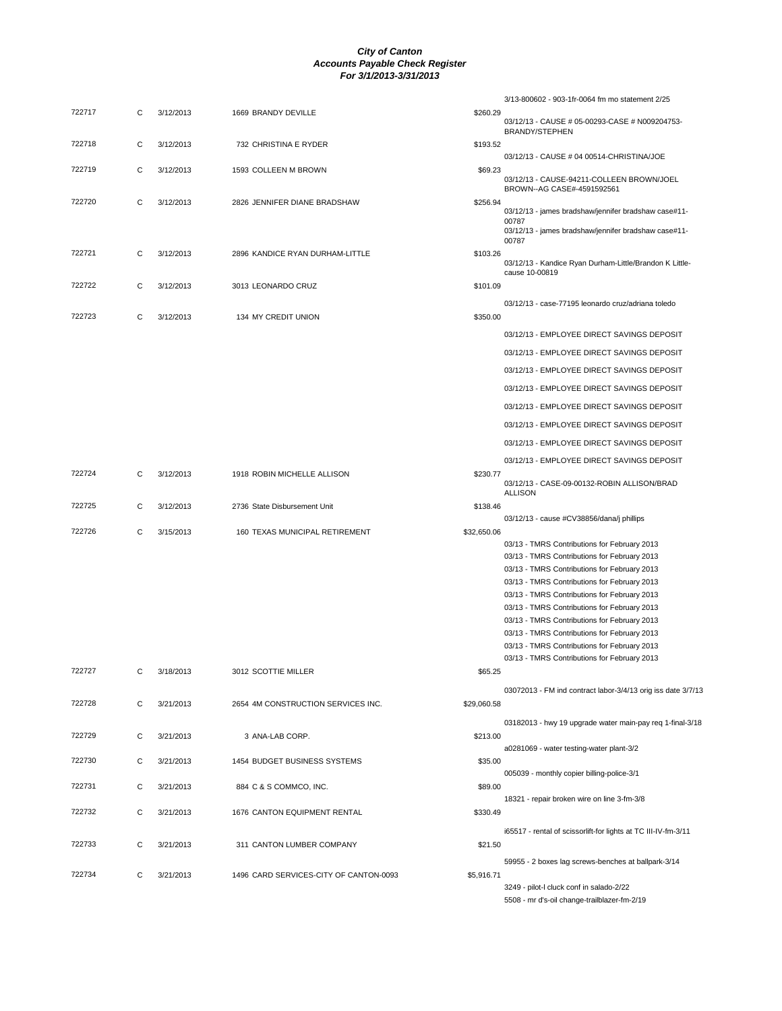|        |   |           |                                        |             | 3/13-800602 - 903-1fr-0064 fm mo statement 2/25                                              |
|--------|---|-----------|----------------------------------------|-------------|----------------------------------------------------------------------------------------------|
| 722717 | С | 3/12/2013 | 1669 BRANDY DEVILLE                    | \$260.29    | 03/12/13 - CAUSE # 05-00293-CASE # N009204753-                                               |
| 722718 | С | 3/12/2013 | 732 CHRISTINA E RYDER                  | \$193.52    | BRANDY/STEPHEN                                                                               |
|        |   |           |                                        |             | 03/12/13 - CAUSE # 04 00514-CHRISTINA/JOE                                                    |
| 722719 | С | 3/12/2013 | 1593 COLLEEN M BROWN                   | \$69.23     | 03/12/13 - CAUSE-94211-COLLEEN BROWN/JOEL                                                    |
| 722720 | С | 3/12/2013 | 2826 JENNIFER DIANE BRADSHAW           | \$256.94    | BROWN--AG CASE#-4591592561                                                                   |
|        |   |           |                                        |             | 03/12/13 - james bradshaw/jennifer bradshaw case#11-<br>00787                                |
|        |   |           |                                        |             | 03/12/13 - james bradshaw/jennifer bradshaw case#11-<br>00787                                |
| 722721 | С | 3/12/2013 | 2896 KANDICE RYAN DURHAM-LITTLE        | \$103.26    |                                                                                              |
|        |   |           |                                        |             | 03/12/13 - Kandice Ryan Durham-Little/Brandon K Little-<br>cause 10-00819                    |
| 722722 | С | 3/12/2013 | 3013 LEONARDO CRUZ                     | \$101.09    |                                                                                              |
|        |   |           |                                        |             | 03/12/13 - case-77195 leonardo cruz/adriana toledo                                           |
| 722723 | С | 3/12/2013 | 134 MY CREDIT UNION                    | \$350.00    |                                                                                              |
|        |   |           |                                        |             | 03/12/13 - EMPLOYEE DIRECT SAVINGS DEPOSIT                                                   |
|        |   |           |                                        |             | 03/12/13 - EMPLOYEE DIRECT SAVINGS DEPOSIT                                                   |
|        |   |           |                                        |             | 03/12/13 - EMPLOYEE DIRECT SAVINGS DEPOSIT                                                   |
|        |   |           |                                        |             | 03/12/13 - EMPLOYEE DIRECT SAVINGS DEPOSIT                                                   |
|        |   |           |                                        |             | 03/12/13 - EMPLOYEE DIRECT SAVINGS DEPOSIT                                                   |
|        |   |           |                                        |             | 03/12/13 - EMPLOYEE DIRECT SAVINGS DEPOSIT                                                   |
|        |   |           |                                        |             | 03/12/13 - EMPLOYEE DIRECT SAVINGS DEPOSIT                                                   |
|        |   |           |                                        |             |                                                                                              |
| 722724 | С | 3/12/2013 | 1918 ROBIN MICHELLE ALLISON            | \$230.77    | 03/12/13 - EMPLOYEE DIRECT SAVINGS DEPOSIT                                                   |
|        |   |           |                                        |             | 03/12/13 - CASE-09-00132-ROBIN ALLISON/BRAD<br><b>ALLISON</b>                                |
| 722725 | С | 3/12/2013 | 2736 State Disbursement Unit           | \$138.46    |                                                                                              |
| 722726 | С | 3/15/2013 | 160 TEXAS MUNICIPAL RETIREMENT         | \$32,650.06 | 03/12/13 - cause #CV38856/dana/j phillips                                                    |
|        |   |           |                                        |             | 03/13 - TMRS Contributions for February 2013                                                 |
|        |   |           |                                        |             | 03/13 - TMRS Contributions for February 2013                                                 |
|        |   |           |                                        |             | 03/13 - TMRS Contributions for February 2013                                                 |
|        |   |           |                                        |             | 03/13 - TMRS Contributions for February 2013                                                 |
|        |   |           |                                        |             | 03/13 - TMRS Contributions for February 2013                                                 |
|        |   |           |                                        |             | 03/13 - TMRS Contributions for February 2013<br>03/13 - TMRS Contributions for February 2013 |
|        |   |           |                                        |             | 03/13 - TMRS Contributions for February 2013                                                 |
|        |   |           |                                        |             | 03/13 - TMRS Contributions for February 2013                                                 |
|        |   |           |                                        |             | 03/13 - TMRS Contributions for February 2013                                                 |
| 722727 | С | 3/18/2013 | 3012 SCOTTIE MILLER                    | \$65.25     |                                                                                              |
|        |   |           |                                        |             | 03072013 - FM ind contract labor-3/4/13 orig iss date 3/7/13                                 |
| 722728 | C | 3/21/2013 | 2654 4M CONSTRUCTION SERVICES INC.     | \$29,060.58 |                                                                                              |
|        |   |           |                                        |             | 03182013 - hwy 19 upgrade water main-pay req 1-final-3/18                                    |
| 722729 | С | 3/21/2013 | 3 ANA-LAB CORP.                        | \$213.00    |                                                                                              |
|        |   |           |                                        |             | a0281069 - water testing-water plant-3/2                                                     |
| 722730 | С | 3/21/2013 | 1454 BUDGET BUSINESS SYSTEMS           | \$35.00     |                                                                                              |
| 722731 | С | 3/21/2013 | 884 C & S COMMCO, INC.                 | \$89.00     | 005039 - monthly copier billing-police-3/1                                                   |
|        |   |           |                                        |             | 18321 - repair broken wire on line 3-fm-3/8                                                  |
| 722732 | С | 3/21/2013 | 1676 CANTON EQUIPMENT RENTAL           | \$330.49    |                                                                                              |
|        |   |           |                                        |             | i65517 - rental of scissorlift-for lights at TC III-IV-fm-3/11                               |
| 722733 | С | 3/21/2013 | 311 CANTON LUMBER COMPANY              | \$21.50     |                                                                                              |
|        |   |           |                                        |             | 59955 - 2 boxes lag screws-benches at ballpark-3/14                                          |
| 722734 | С | 3/21/2013 | 1496 CARD SERVICES-CITY OF CANTON-0093 | \$5,916.71  | 3249 - pilot-I cluck conf in salado-2/22                                                     |
|        |   |           |                                        |             | 5508 - mr d's-oil change-trailblazer-fm-2/19                                                 |
|        |   |           |                                        |             |                                                                                              |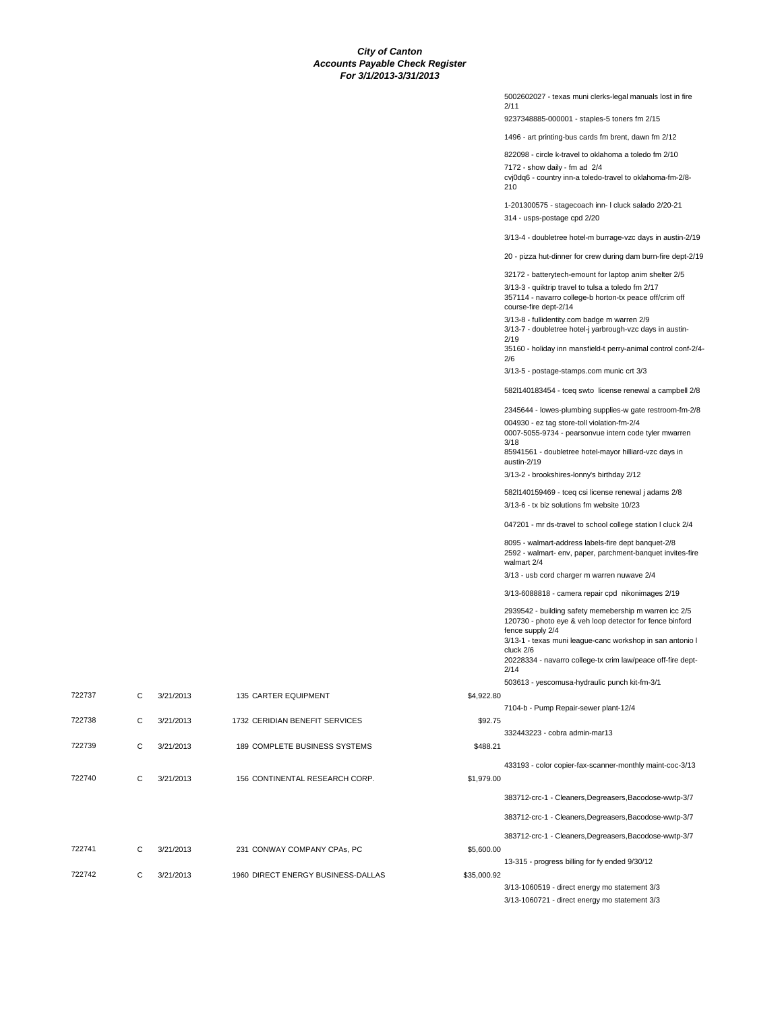5002602027 - texas muni clerks-legal manuals lost in fire 2/11 9237348885-000001 - staples-5 toners fm 2/15 1496 - art printing-bus cards fm brent, dawn fm 2/12 822098 - circle k-travel to oklahoma a toledo fm 2/10 7172 - show daily - fm ad 2/4 cvj0dq6 - country inn-a toledo-travel to oklahoma-fm-2/8- 210 1-201300575 - stagecoach inn- l cluck salado 2/20-21 314 - usps-postage cpd 2/20 3/13-4 - doubletree hotel-m burrage-vzc days in austin-2/19 20 - pizza hut-dinner for crew during dam burn-fire dept-2/19 32172 - batterytech-emount for laptop anim shelter 2/5 3/13-3 - quiktrip travel to tulsa a toledo fm 2/17 357114 - navarro college-b horton-tx peace off/crim off course-fire dept-2/14 3/13-8 - fullidentity.com badge m warren 2/9 3/13-7 - doubletree hotel-j yarbrough-vzc days in austin- $2/10$ 35160 - holiday inn mansfield-t perry-animal control conf-2/4- 2/6 3/13-5 - postage-stamps.com munic crt 3/3 582l140183454 - tceq swto license renewal a campbell 2/8 2345644 - lowes-plumbing supplies-w gate restroom-fm-2/8 004930 - ez tag store-toll violation-fm-2/4 0007-5055-9734 - pearsonvue intern code tyler mwarren 3/18 85941561 - doubletree hotel-mayor hilliard-vzc days in austin-2/19 3/13-2 - brookshires-lonny's birthday 2/12 582l140159469 - tceq csi license renewal j adams 2/8 3/13-6 - tx biz solutions fm website 10/23 047201 - mr ds-travel to school college station l cluck 2/4 8095 - walmart-address labels-fire dept banquet-2/8 2592 - walmart- env, paper, parchment-banquet invites-fire walmart 2/4 3/13 - usb cord charger m warren nuwave 2/4 3/13-6088818 - camera repair cpd nikonimages 2/19 2939542 - building safety memebership m warren icc 2/5 120730 - photo eye & veh loop detector for fence binford fence supply 2/4 3/13-1 - texas muni league-canc workshop in san antonio l cluck 2/6 20228334 - navarro college-tx crim law/peace off-fire dept-2/14 503613 - yescomusa-hydraulic punch kit-fm-3/1 722737 C 3/21/2013 135 CARTER EQUIPMENT \$4,922.80 7104-b - Pump Repair-sewer plant-12/4 722738 C 3/21/2013 1732 CERIDIAN BENEFIT SERVICES \$92.75 332443223 - cobra admin-mar13 722739 C 3/21/2013 189 COMPLETE BUSINESS SYSTEMS \$488.21 433193 - color copier-fax-scanner-monthly maint-coc-3/13 722740 C 3/21/2013 156 CONTINENTAL RESEARCH CORP. \$1,979.00 383712-crc-1 - Cleaners,Degreasers,Bacodose-wwtp-3/7 383712-crc-1 - Cleaners,Degreasers,Bacodose-wwtp-3/7 383712-crc-1 - Cleaners,Degreasers,Bacodose-wwtp-3/7 722741 C 3/21/2013 231 CONWAY COMPANY CPAs, PC \$5,600.00 13-315 - progress billing for fy ended 9/30/12 722742 C 3/21/2013 1960 DIRECT ENERGY BUSINESS-DALLAS \$35,000.92 3/13-1060519 - direct energy mo statement 3/3 3/13-1060721 - direct energy mo statement 3/3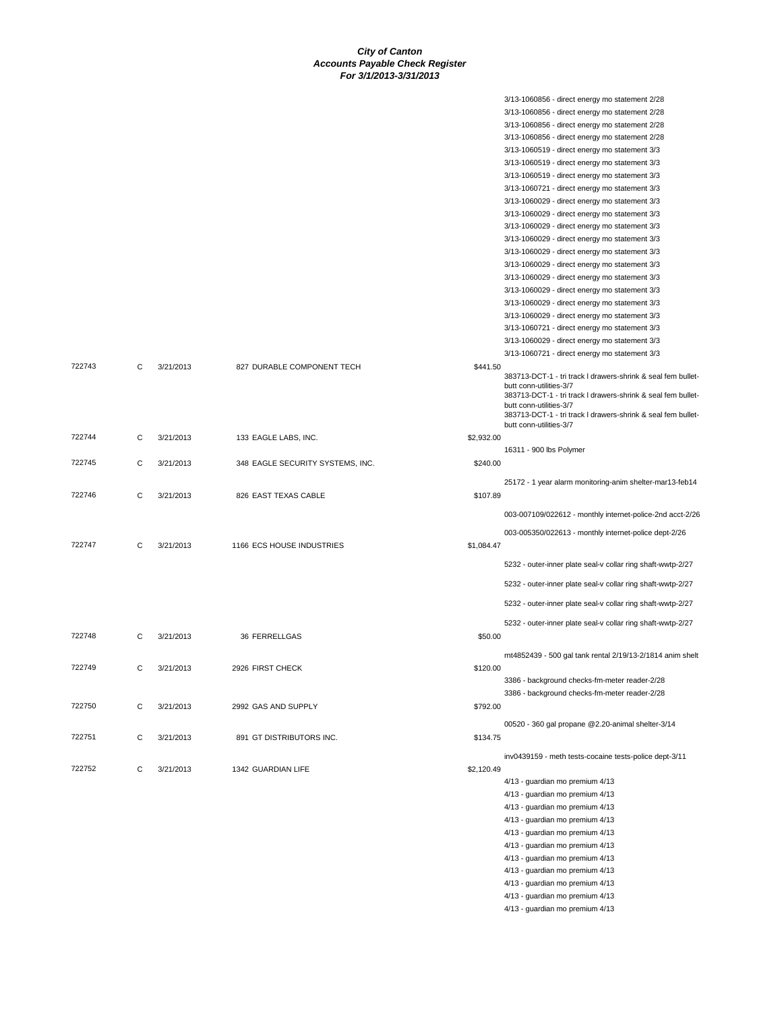|        |   |           |                                  |            | 3/13-1060856 - direct energy mo statement 2/28                                                 |
|--------|---|-----------|----------------------------------|------------|------------------------------------------------------------------------------------------------|
|        |   |           |                                  |            | 3/13-1060856 - direct energy mo statement 2/28                                                 |
|        |   |           |                                  |            | 3/13-1060856 - direct energy mo statement 2/28                                                 |
|        |   |           |                                  |            | 3/13-1060856 - direct energy mo statement 2/28                                                 |
|        |   |           |                                  |            | 3/13-1060519 - direct energy mo statement 3/3                                                  |
|        |   |           |                                  |            | 3/13-1060519 - direct energy mo statement 3/3                                                  |
|        |   |           |                                  |            | 3/13-1060519 - direct energy mo statement 3/3                                                  |
|        |   |           |                                  |            | 3/13-1060721 - direct energy mo statement 3/3                                                  |
|        |   |           |                                  |            | 3/13-1060029 - direct energy mo statement 3/3                                                  |
|        |   |           |                                  |            | 3/13-1060029 - direct energy mo statement 3/3                                                  |
|        |   |           |                                  |            | 3/13-1060029 - direct energy mo statement 3/3                                                  |
|        |   |           |                                  |            | 3/13-1060029 - direct energy mo statement 3/3                                                  |
|        |   |           |                                  |            | 3/13-1060029 - direct energy mo statement 3/3                                                  |
|        |   |           |                                  |            | 3/13-1060029 - direct energy mo statement 3/3<br>3/13-1060029 - direct energy mo statement 3/3 |
|        |   |           |                                  |            | 3/13-1060029 - direct energy mo statement 3/3                                                  |
|        |   |           |                                  |            | 3/13-1060029 - direct energy mo statement 3/3                                                  |
|        |   |           |                                  |            | 3/13-1060029 - direct energy mo statement 3/3                                                  |
|        |   |           |                                  |            | 3/13-1060721 - direct energy mo statement 3/3                                                  |
|        |   |           |                                  |            | 3/13-1060029 - direct energy mo statement 3/3                                                  |
|        |   |           |                                  |            | 3/13-1060721 - direct energy mo statement 3/3                                                  |
| 722743 | C | 3/21/2013 | 827 DURABLE COMPONENT TECH       | \$441.50   |                                                                                                |
|        |   |           |                                  |            | 383713-DCT-1 - tri track I drawers-shrink & seal fem bullet-                                   |
|        |   |           |                                  |            | butt conn-utilities-3/7<br>383713-DCT-1 - tri track I drawers-shrink & seal fem bullet-        |
|        |   |           |                                  |            | butt conn-utilities-3/7                                                                        |
|        |   |           |                                  |            | 383713-DCT-1 - tri track I drawers-shrink & seal fem bullet-                                   |
|        |   |           |                                  |            | butt conn-utilities-3/7                                                                        |
| 722744 | C | 3/21/2013 | 133 EAGLE LABS, INC.             | \$2,932.00 |                                                                                                |
| 722745 | C | 3/21/2013 |                                  | \$240.00   | 16311 - 900 lbs Polymer                                                                        |
|        |   |           | 348 EAGLE SECURITY SYSTEMS, INC. |            |                                                                                                |
|        |   |           |                                  |            | 25172 - 1 year alarm monitoring-anim shelter-mar13-feb14                                       |
| 722746 | C | 3/21/2013 | 826 EAST TEXAS CABLE             | \$107.89   |                                                                                                |
|        |   |           |                                  |            | 003-007109/022612 - monthly internet-police-2nd acct-2/26                                      |
|        |   |           |                                  |            | 003-005350/022613 - monthly internet-police dept-2/26                                          |
| 722747 | C | 3/21/2013 | 1166 ECS HOUSE INDUSTRIES        | \$1,084.47 |                                                                                                |
|        |   |           |                                  |            |                                                                                                |
|        |   |           |                                  |            | 5232 - outer-inner plate seal-v collar ring shaft-wwtp-2/27                                    |
|        |   |           |                                  |            | 5232 - outer-inner plate seal-v collar ring shaft-wwtp-2/27                                    |
|        |   |           |                                  |            | 5232 - outer-inner plate seal-v collar ring shaft-wwtp-2/27                                    |
|        |   |           |                                  |            |                                                                                                |
| 722748 | C |           |                                  |            | 5232 - outer-inner plate seal-v collar ring shaft-wwtp-2/27                                    |
|        |   | 3/21/2013 | 36 FERRELLGAS                    | \$50.00    |                                                                                                |
|        |   |           |                                  |            | rnt4852439 - 500 gal tank rental 2/19/13-2/1814 anim shelt                                     |
| 722749 |   | 3/21/2013 | 2926 FIRST CHECK                 | \$120.00   |                                                                                                |
|        |   |           |                                  |            | 3386 - background checks-fm-meter reader-2/28                                                  |
|        |   |           |                                  |            | 3386 - background checks-fm-meter reader-2/28                                                  |
| 722750 | C | 3/21/2013 | 2992 GAS AND SUPPLY              | \$792.00   |                                                                                                |
|        |   |           |                                  |            | 00520 - 360 gal propane @2.20-animal shelter-3/14                                              |
| 722751 | C | 3/21/2013 | 891 GT DISTRIBUTORS INC.         | \$134.75   |                                                                                                |
|        |   |           |                                  |            |                                                                                                |
|        |   |           |                                  |            | inv0439159 - meth tests-cocaine tests-police dept-3/11                                         |
| 722752 | C | 3/21/2013 | 1342 GUARDIAN LIFE               | \$2,120.49 | 4/13 - guardian mo premium 4/13                                                                |
|        |   |           |                                  |            | 4/13 - guardian mo premium 4/13                                                                |
|        |   |           |                                  |            | 4/13 - guardian mo premium 4/13                                                                |
|        |   |           |                                  |            | 4/13 - guardian mo premium 4/13                                                                |
|        |   |           |                                  |            | 4/13 - guardian mo premium 4/13                                                                |
|        |   |           |                                  |            | 4/13 - guardian mo premium 4/13                                                                |
|        |   |           |                                  |            | 4/13 - guardian mo premium 4/13                                                                |
|        |   |           |                                  |            | 4/13 - guardian mo premium 4/13                                                                |
|        |   |           |                                  |            | 4/13 - guardian mo premium 4/13                                                                |
|        |   |           |                                  |            | 4/13 - guardian mo premium 4/13                                                                |
|        |   |           |                                  |            | 4/13 - guardian mo premium 4/13                                                                |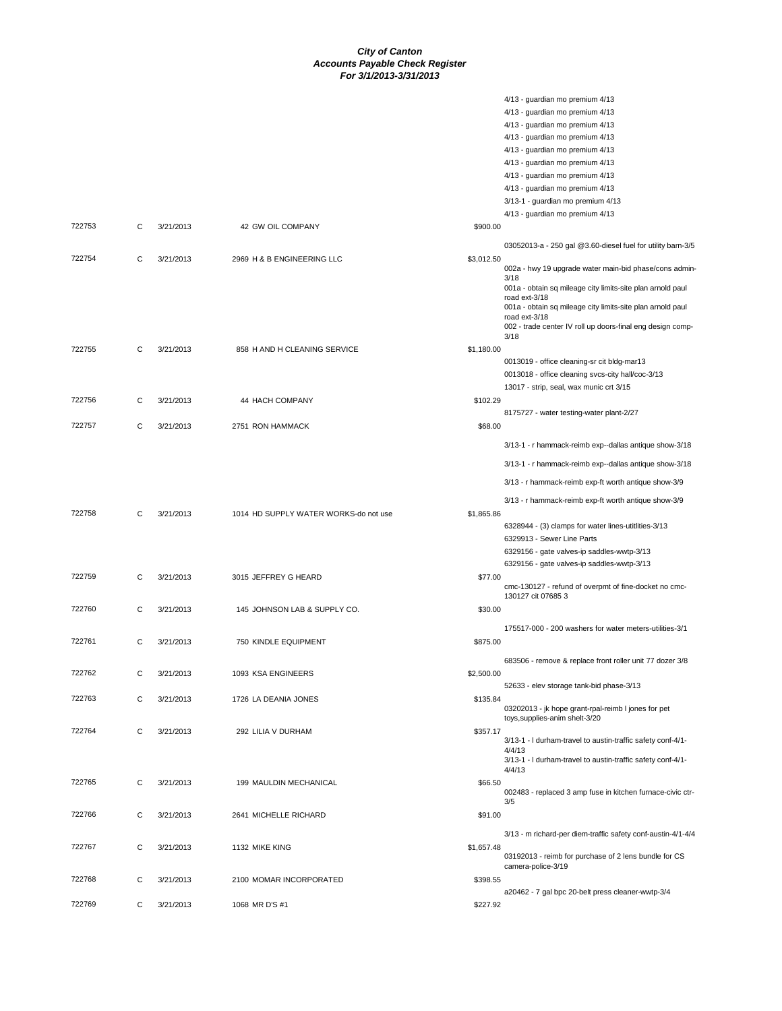|        |   |           |                                       | 4/13 - guardian mo premium 4/13                                             |  |
|--------|---|-----------|---------------------------------------|-----------------------------------------------------------------------------|--|
|        |   |           |                                       | 4/13 - guardian mo premium 4/13                                             |  |
|        |   |           |                                       | 4/13 - guardian mo premium 4/13                                             |  |
|        |   |           |                                       | 4/13 - guardian mo premium 4/13                                             |  |
|        |   |           |                                       | 4/13 - guardian mo premium 4/13                                             |  |
|        |   |           |                                       | 4/13 - guardian mo premium 4/13                                             |  |
|        |   |           |                                       | 4/13 - guardian mo premium 4/13                                             |  |
|        |   |           |                                       | 4/13 - guardian mo premium 4/13                                             |  |
|        |   |           |                                       | 3/13-1 - guardian mo premium 4/13                                           |  |
|        |   |           |                                       | 4/13 - guardian mo premium 4/13                                             |  |
| 722753 | C | 3/21/2013 | 42 GW OIL COMPANY                     | \$900.00                                                                    |  |
|        |   |           |                                       | 03052013-a - 250 gal @3.60-diesel fuel for utility barn-3/5                 |  |
| 722754 | C | 3/21/2013 | 2969 H & B ENGINEERING LLC            | \$3,012.50                                                                  |  |
|        |   |           |                                       | 002a - hwy 19 upgrade water main-bid phase/cons admin-                      |  |
|        |   |           |                                       | 3/18<br>001a - obtain sq mileage city limits-site plan arnold paul          |  |
|        |   |           |                                       | road ext-3/18                                                               |  |
|        |   |           |                                       | 001a - obtain sq mileage city limits-site plan arnold paul                  |  |
|        |   |           |                                       | road ext-3/18<br>002 - trade center IV roll up doors-final eng design comp- |  |
|        |   |           |                                       | 3/18                                                                        |  |
| 722755 | C | 3/21/2013 | 858 H AND H CLEANING SERVICE          | \$1,180.00                                                                  |  |
|        |   |           |                                       | 0013019 - office cleaning-sr cit bldg-mar13                                 |  |
|        |   |           |                                       | 0013018 - office cleaning svcs-city hall/coc-3/13                           |  |
|        |   |           |                                       | 13017 - strip, seal, wax munic crt 3/15                                     |  |
| 722756 | C | 3/21/2013 | 44 HACH COMPANY                       | \$102.29                                                                    |  |
|        |   |           |                                       | 8175727 - water testing-water plant-2/27                                    |  |
| 722757 | C | 3/21/2013 | 2751 RON HAMMACK                      | \$68.00                                                                     |  |
|        |   |           |                                       | 3/13-1 - r hammack-reimb exp--dallas antique show-3/18                      |  |
|        |   |           |                                       | 3/13-1 - r hammack-reimb exp--dallas antique show-3/18                      |  |
|        |   |           |                                       | 3/13 - r hammack-reimb exp-ft worth antique show-3/9                        |  |
|        |   |           |                                       | 3/13 - r hammack-reimb exp-ft worth antique show-3/9                        |  |
| 722758 | C | 3/21/2013 | 1014 HD SUPPLY WATER WORKS-do not use | \$1,865.86                                                                  |  |
|        |   |           |                                       | 6328944 - (3) clamps for water lines-utitlities-3/13                        |  |
|        |   |           |                                       | 6329913 - Sewer Line Parts                                                  |  |
|        |   |           |                                       | 6329156 - gate valves-ip saddles-wwtp-3/13                                  |  |
|        |   |           |                                       | 6329156 - gate valves-ip saddles-wwtp-3/13                                  |  |
| 722759 | C | 3/21/2013 | 3015 JEFFREY G HEARD                  | \$77.00                                                                     |  |
|        |   |           |                                       | cmc-130127 - refund of overpmt of fine-docket no cmc-                       |  |
| 722760 |   |           |                                       | 130127 cit 07685 3                                                          |  |
|        | C | 3/21/2013 | 145 JOHNSON LAB & SUPPLY CO.          | \$30.00                                                                     |  |
|        |   |           |                                       | 175517-000 - 200 washers for water meters-utilities-3/1                     |  |
| 722761 | C | 3/21/2013 | 750 KINDLE EQUIPMENT                  | \$875.00                                                                    |  |
|        |   |           |                                       | 683506 - remove & replace front roller unit 77 dozer 3/8                    |  |
| 722762 | C | 3/21/2013 | 1093 KSA ENGINEERS                    | \$2,500.00                                                                  |  |
|        |   |           |                                       | 52633 - elev storage tank-bid phase-3/13                                    |  |
| 722763 | C | 3/21/2013 | 1726 LA DEANIA JONES                  | \$135.84                                                                    |  |
|        |   |           |                                       | 03202013 - jk hope grant-rpal-reimb I jones for pet                         |  |
|        |   |           |                                       | toys, supplies-anim shelt-3/20                                              |  |
| 722764 | C | 3/21/2013 | 292 LILIA V DURHAM                    | \$357.17                                                                    |  |
|        |   |           |                                       | 3/13-1 - I durham-travel to austin-traffic safety conf-4/1-<br>4/4/13       |  |
|        |   |           |                                       | 3/13-1 - I durham-travel to austin-traffic safety conf-4/1-                 |  |
|        |   |           |                                       | 4/4/13                                                                      |  |
| 722765 | C | 3/21/2013 | 199 MAULDIN MECHANICAL                | \$66.50                                                                     |  |
|        |   |           |                                       | 002483 - replaced 3 amp fuse in kitchen furnace-civic ctr-<br>3/5           |  |
| 722766 | C | 3/21/2013 | 2641 MICHELLE RICHARD                 | \$91.00                                                                     |  |
|        |   |           |                                       |                                                                             |  |
|        |   |           |                                       | 3/13 - m richard-per diem-traffic safety conf-austin-4/1-4/4                |  |
| 722767 | C | 3/21/2013 | 1132 MIKE KING                        | \$1,657.48                                                                  |  |
|        |   |           |                                       | 03192013 - reimb for purchase of 2 lens bundle for CS<br>camera-police-3/19 |  |
| 722768 | C | 3/21/2013 | 2100 MOMAR INCORPORATED               | \$398.55                                                                    |  |
|        |   |           |                                       | a20462 - 7 gal bpc 20-belt press cleaner-wwtp-3/4                           |  |
|        |   |           |                                       |                                                                             |  |
| 722769 | С | 3/21/2013 | 1068 MR D'S #1                        | \$227.92                                                                    |  |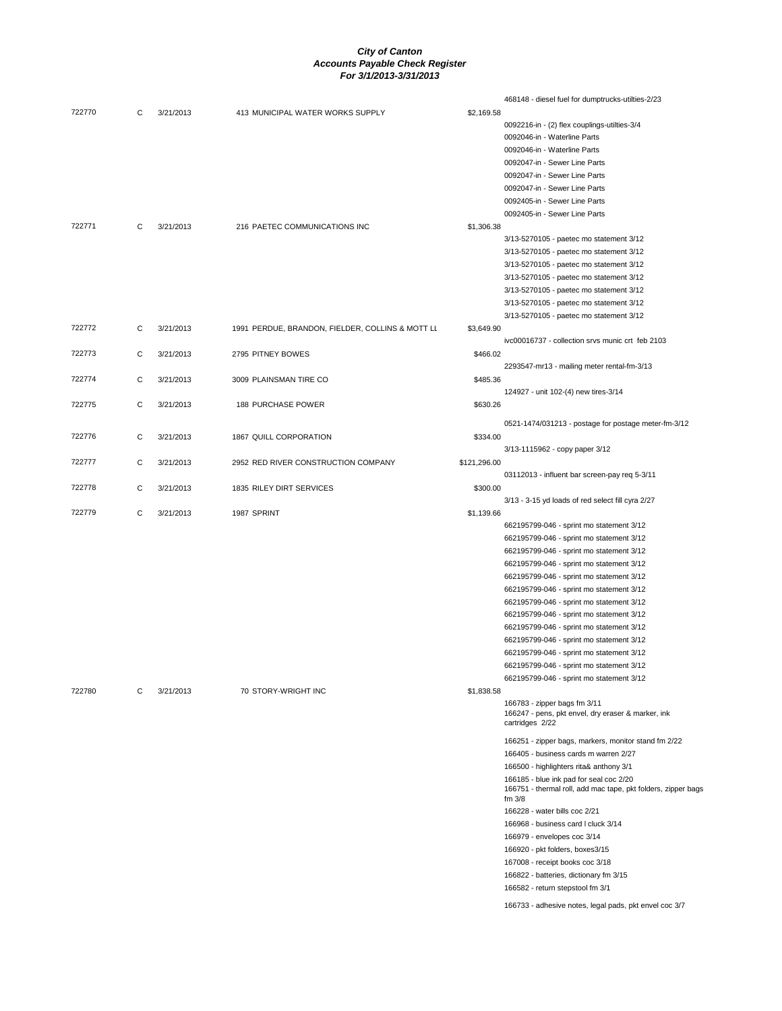| 722770 | C | 3/21/2013 | 413 MUNICIPAL WATER WORKS SUPPLY                 | \$2,169.58   | 468148 - diesel fuel for dumptrucks-utilties-2/23                     |
|--------|---|-----------|--------------------------------------------------|--------------|-----------------------------------------------------------------------|
|        |   |           |                                                  |              | 0092216-in - (2) flex couplings-utilties-3/4                          |
|        |   |           |                                                  |              | 0092046-in - Waterline Parts                                          |
|        |   |           |                                                  |              | 0092046-in - Waterline Parts                                          |
|        |   |           |                                                  |              | 0092047-in - Sewer Line Parts                                         |
|        |   |           |                                                  |              | 0092047-in - Sewer Line Parts                                         |
|        |   |           |                                                  |              | 0092047-in - Sewer Line Parts                                         |
|        |   |           |                                                  |              | 0092405-in - Sewer Line Parts                                         |
|        |   |           |                                                  |              | 0092405-in - Sewer Line Parts                                         |
| 722771 | C | 3/21/2013 | 216 PAETEC COMMUNICATIONS INC                    | \$1,306.38   |                                                                       |
|        |   |           |                                                  |              | 3/13-5270105 - paetec mo statement 3/12                               |
|        |   |           |                                                  |              | 3/13-5270105 - paetec mo statement 3/12                               |
|        |   |           |                                                  |              | 3/13-5270105 - paetec mo statement 3/12                               |
|        |   |           |                                                  |              | 3/13-5270105 - paetec mo statement 3/12                               |
|        |   |           |                                                  |              | 3/13-5270105 - paetec mo statement 3/12                               |
|        |   |           |                                                  |              | 3/13-5270105 - paetec mo statement 3/12                               |
|        |   |           |                                                  |              | 3/13-5270105 - paetec mo statement 3/12                               |
| 722772 | С | 3/21/2013 |                                                  |              |                                                                       |
|        |   |           | 1991 PERDUE, BRANDON, FIELDER, COLLINS & MOTT LL | \$3,649.90   | ivc00016737 - collection srvs munic crt feb 2103                      |
|        |   |           |                                                  | \$466.02     |                                                                       |
| 722773 | С | 3/21/2013 | 2795 PITNEY BOWES                                |              |                                                                       |
|        |   |           |                                                  |              | 2293547-mr13 - mailing meter rental-fm-3/13                           |
| 722774 | С | 3/21/2013 | 3009 PLAINSMAN TIRE CO                           | \$485.36     |                                                                       |
|        |   |           |                                                  |              | 124927 - unit 102-(4) new tires-3/14                                  |
| 722775 | С | 3/21/2013 | 188 PURCHASE POWER                               | \$630.26     |                                                                       |
|        |   |           |                                                  |              | 0521-1474/031213 - postage for postage meter-fm-3/12                  |
| 722776 | С | 3/21/2013 | 1867 QUILL CORPORATION                           | \$334.00     |                                                                       |
|        |   |           |                                                  |              | 3/13-1115962 - copy paper 3/12                                        |
| 722777 | C |           |                                                  |              |                                                                       |
|        |   | 3/21/2013 | 2952 RED RIVER CONSTRUCTION COMPANY              | \$121,296.00 | 03112013 - influent bar screen-pay req 5-3/11                         |
| 722778 |   |           |                                                  |              |                                                                       |
|        | С | 3/21/2013 | 1835 RILEY DIRT SERVICES                         | \$300.00     |                                                                       |
|        |   |           |                                                  |              | 3/13 - 3-15 yd loads of red select fill cyra 2/27                     |
| 722779 | С | 3/21/2013 | 1987 SPRINT                                      | \$1,139.66   |                                                                       |
|        |   |           |                                                  |              | 662195799-046 - sprint mo statement 3/12                              |
|        |   |           |                                                  |              | 662195799-046 - sprint mo statement 3/12                              |
|        |   |           |                                                  |              | 662195799-046 - sprint mo statement 3/12                              |
|        |   |           |                                                  |              | 662195799-046 - sprint mo statement 3/12                              |
|        |   |           |                                                  |              | 662195799-046 - sprint mo statement 3/12                              |
|        |   |           |                                                  |              | 662195799-046 - sprint mo statement 3/12                              |
|        |   |           |                                                  |              | 662195799-046 - sprint mo statement 3/12                              |
|        |   |           |                                                  |              | 662195799-046 - sprint mo statement 3/12                              |
|        |   |           |                                                  |              | 662195799-046 - sprint mo statement 3/12                              |
|        |   |           |                                                  |              | 662195799-046 - sprint mo statement 3/12                              |
|        |   |           |                                                  |              | 662195799-046 - sprint mo statement 3/12                              |
|        |   |           |                                                  |              | 662195799-046 - sprint mo statement 3/12                              |
|        |   |           |                                                  |              | 662195799-046 - sprint mo statement 3/12                              |
| 722780 | С | 3/21/2013 | 70 STORY-WRIGHT INC                              | \$1,838.58   |                                                                       |
|        |   |           |                                                  |              | 166783 - zipper bags fm 3/11                                          |
|        |   |           |                                                  |              | 166247 - pens, pkt envel, dry eraser & marker, ink<br>cartridges 2/22 |
|        |   |           |                                                  |              |                                                                       |
|        |   |           |                                                  |              | 166251 - zipper bags, markers, monitor stand fm 2/22                  |
|        |   |           |                                                  |              | 166405 - business cards m warren 2/27                                 |
|        |   |           |                                                  |              | 166500 - highlighters rita& anthony 3/1                               |
|        |   |           |                                                  |              | 166185 - blue ink pad for seal coc 2/20                               |
|        |   |           |                                                  |              | 166751 - thermal roll, add mac tape, pkt folders, zipper bags         |
|        |   |           |                                                  |              | fm $3/8$                                                              |
|        |   |           |                                                  |              | 166228 - water bills coc 2/21                                         |
|        |   |           |                                                  |              | 166968 - business card I cluck 3/14                                   |
|        |   |           |                                                  |              | 166979 - envelopes coc 3/14                                           |
|        |   |           |                                                  |              | 166920 - pkt folders, boxes3/15                                       |
|        |   |           |                                                  |              | 167008 - receipt books coc 3/18                                       |
|        |   |           |                                                  |              | 166822 - batteries, dictionary fm 3/15                                |
|        |   |           |                                                  |              | 166582 - return stepstool fm 3/1                                      |
|        |   |           |                                                  |              | 166733 - adhesive notes, legal pads, pkt envel coc 3/7                |
|        |   |           |                                                  |              |                                                                       |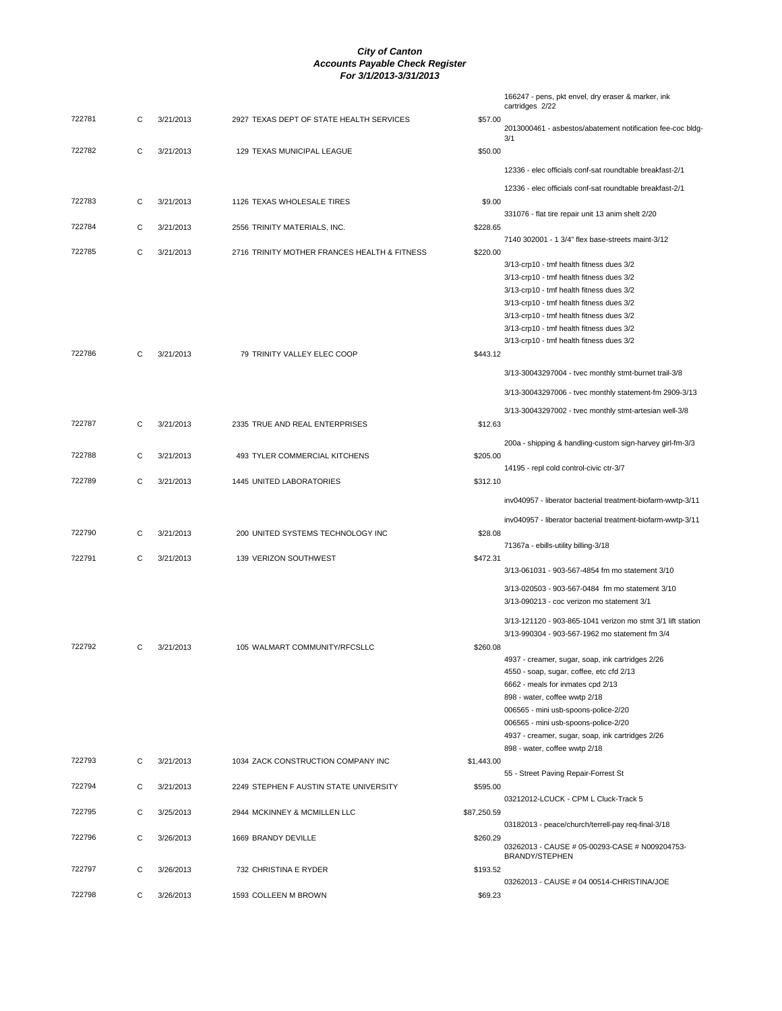|        |   |           |                                              |             | 166247 - pens, pkt envel, dry eraser & marker, ink<br>cartridges 2/22                                                                                                                                                                                                                                                                   |
|--------|---|-----------|----------------------------------------------|-------------|-----------------------------------------------------------------------------------------------------------------------------------------------------------------------------------------------------------------------------------------------------------------------------------------------------------------------------------------|
| 722781 | С | 3/21/2013 | 2927 TEXAS DEPT OF STATE HEALTH SERVICES     | \$57.00     | 2013000461 - asbestos/abatement notification fee-coc bldg-                                                                                                                                                                                                                                                                              |
| 722782 | С | 3/21/2013 | 129 TEXAS MUNICIPAL LEAGUE                   | \$50.00     | 3/1                                                                                                                                                                                                                                                                                                                                     |
|        |   |           |                                              |             | 12336 - elec officials conf-sat roundtable breakfast-2/1                                                                                                                                                                                                                                                                                |
| 722783 | С | 3/21/2013 | 1126 TEXAS WHOLESALE TIRES                   | \$9.00      | 12336 - elec officials conf-sat roundtable breakfast-2/1                                                                                                                                                                                                                                                                                |
| 722784 | С |           |                                              |             | 331076 - flat tire repair unit 13 anim shelt 2/20                                                                                                                                                                                                                                                                                       |
|        |   | 3/21/2013 | 2556 TRINITY MATERIALS, INC.                 | \$228.65    | 7140 302001 - 1 3/4" flex base-streets maint-3/12                                                                                                                                                                                                                                                                                       |
| 722785 | C | 3/21/2013 | 2716 TRINITY MOTHER FRANCES HEALTH & FITNESS | \$220.00    | 3/13-crp10 - tmf health fitness dues 3/2<br>3/13-crp10 - tmf health fitness dues 3/2<br>3/13-crp10 - tmf health fitness dues 3/2<br>3/13-crp10 - tmf health fitness dues 3/2<br>3/13-crp10 - tmf health fitness dues 3/2<br>3/13-crp10 - tmf health fitness dues 3/2<br>3/13-crp10 - tmf health fitness dues 3/2                        |
| 722786 | C | 3/21/2013 | 79 TRINITY VALLEY ELEC COOP                  | \$443.12    |                                                                                                                                                                                                                                                                                                                                         |
|        |   |           |                                              |             | 3/13-30043297004 - tvec monthly stmt-burnet trail-3/8<br>3/13-30043297006 - tvec monthly statement-fm 2909-3/13                                                                                                                                                                                                                         |
|        |   |           |                                              |             | 3/13-30043297002 - tvec monthly stmt-artesian well-3/8                                                                                                                                                                                                                                                                                  |
| 722787 | С | 3/21/2013 | 2335 TRUE AND REAL ENTERPRISES               | \$12.63     |                                                                                                                                                                                                                                                                                                                                         |
| 722788 | С | 3/21/2013 | 493 TYLER COMMERCIAL KITCHENS                | \$205.00    | 200a - shipping & handling-custom sign-harvey girl-fm-3/3                                                                                                                                                                                                                                                                               |
| 722789 | С | 3/21/2013 | 1445 UNITED LABORATORIES                     | \$312.10    | 14195 - repl cold control-civic ctr-3/7                                                                                                                                                                                                                                                                                                 |
|        |   |           |                                              |             | inv040957 - liberator bacterial treatment-biofarm-wwtp-3/11                                                                                                                                                                                                                                                                             |
|        |   |           |                                              |             | inv040957 - liberator bacterial treatment-biofarm-wwtp-3/11                                                                                                                                                                                                                                                                             |
| 722790 | С | 3/21/2013 | 200 UNITED SYSTEMS TECHNOLOGY INC            | \$28.08     | 71367a - ebills-utility billing-3/18                                                                                                                                                                                                                                                                                                    |
| 722791 | С | 3/21/2013 | 139 VERIZON SOUTHWEST                        | \$472.31    | 3/13-061031 - 903-567-4854 fm mo statement 3/10                                                                                                                                                                                                                                                                                         |
|        |   |           |                                              |             | 3/13-020503 - 903-567-0484 fm mo statement 3/10<br>3/13-090213 - coc verizon mo statement 3/1                                                                                                                                                                                                                                           |
|        |   |           |                                              |             | 3/13-121120 - 903-865-1041 verizon mo stmt 3/1 lift station                                                                                                                                                                                                                                                                             |
| 722792 | C | 3/21/2013 | 105 WALMART COMMUNITY/RFCSLLC                | \$260.08    | 3/13-990304 - 903-567-1962 mo statement fm 3/4                                                                                                                                                                                                                                                                                          |
|        |   |           |                                              |             | 4937 - creamer, sugar, soap, ink cartridges 2/26<br>4550 - soap, sugar, coffee, etc cfd 2/13<br>6662 - meals for inmates cpd 2/13<br>898 - water, coffee wwtp 2/18<br>006565 - mini usb-spoons-police-2/20<br>006565 - mini usb-spoons-police-2/20<br>4937 - creamer, sugar, soap, ink cartridges 2/26<br>898 - water, coffee wwtp 2/18 |
| 722793 | С | 3/21/2013 | 1034 ZACK CONSTRUCTION COMPANY INC           | \$1,443.00  | 55 - Street Paving Repair-Forrest St                                                                                                                                                                                                                                                                                                    |
| 722794 | С | 3/21/2013 | 2249 STEPHEN F AUSTIN STATE UNIVERSITY       | \$595.00    | 03212012-LCUCK - CPM L Cluck-Track 5                                                                                                                                                                                                                                                                                                    |
| 722795 | С | 3/25/2013 | 2944 MCKINNEY & MCMILLEN LLC                 | \$87,250.59 | 03182013 - peace/church/terrell-pay req-final-3/18                                                                                                                                                                                                                                                                                      |
| 722796 | С | 3/26/2013 | 1669 BRANDY DEVILLE                          | \$260.29    | 03262013 - CAUSE # 05-00293-CASE # N009204753-                                                                                                                                                                                                                                                                                          |
| 722797 | С | 3/26/2013 | 732 CHRISTINA E RYDER                        | \$193.52    | BRANDY/STEPHEN                                                                                                                                                                                                                                                                                                                          |
|        |   |           |                                              |             | 03262013 - CAUSE # 04 00514-CHRISTINA/JOE                                                                                                                                                                                                                                                                                               |
| 722798 | С | 3/26/2013 | 1593 COLLEEN M BROWN                         | \$69.23     |                                                                                                                                                                                                                                                                                                                                         |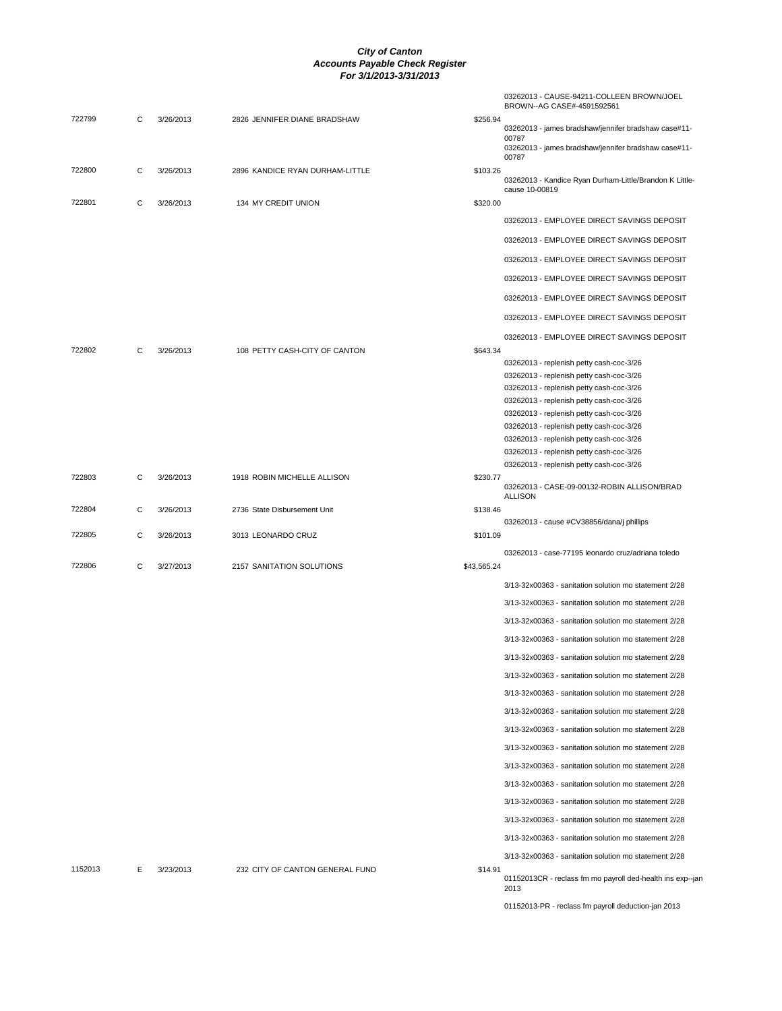|         |   |           |                                 |             | 03262013 - CAUSE-94211-COLLEEN BROWN/JOEL<br>BROWN--AG CASE#-4591592561              |
|---------|---|-----------|---------------------------------|-------------|--------------------------------------------------------------------------------------|
| 722799  | С | 3/26/2013 | 2826 JENNIFER DIANE BRADSHAW    | \$256.94    | 03262013 - james bradshaw/jennifer bradshaw case#11-<br>00787                        |
|         |   |           |                                 |             | 03262013 - james bradshaw/jennifer bradshaw case#11-<br>00787                        |
| 722800  | С | 3/26/2013 | 2896 KANDICE RYAN DURHAM-LITTLE | \$103.26    | 03262013 - Kandice Ryan Durham-Little/Brandon K Little-<br>cause 10-00819            |
| 722801  | С | 3/26/2013 | 134 MY CREDIT UNION             | \$320.00    |                                                                                      |
|         |   |           |                                 |             | 03262013 - EMPLOYEE DIRECT SAVINGS DEPOSIT                                           |
|         |   |           |                                 |             | 03262013 - EMPLOYEE DIRECT SAVINGS DEPOSIT                                           |
|         |   |           |                                 |             | 03262013 - EMPLOYEE DIRECT SAVINGS DEPOSIT                                           |
|         |   |           |                                 |             | 03262013 - EMPLOYEE DIRECT SAVINGS DEPOSIT                                           |
|         |   |           |                                 |             | 03262013 - EMPLOYEE DIRECT SAVINGS DEPOSIT                                           |
|         |   |           |                                 |             | 03262013 - EMPLOYEE DIRECT SAVINGS DEPOSIT                                           |
|         |   |           |                                 |             | 03262013 - EMPLOYEE DIRECT SAVINGS DEPOSIT                                           |
| 722802  | С | 3/26/2013 | 108 PETTY CASH-CITY OF CANTON   | \$643.34    | 03262013 - replenish petty cash-coc-3/26                                             |
|         |   |           |                                 |             | 03262013 - replenish petty cash-coc-3/26                                             |
|         |   |           |                                 |             | 03262013 - replenish petty cash-coc-3/26                                             |
|         |   |           |                                 |             | 03262013 - replenish petty cash-coc-3/26                                             |
|         |   |           |                                 |             | 03262013 - replenish petty cash-coc-3/26                                             |
|         |   |           |                                 |             | 03262013 - replenish petty cash-coc-3/26                                             |
|         |   |           |                                 |             | 03262013 - replenish petty cash-coc-3/26<br>03262013 - replenish petty cash-coc-3/26 |
|         |   |           |                                 |             | 03262013 - replenish petty cash-coc-3/26                                             |
| 722803  | C | 3/26/2013 | 1918 ROBIN MICHELLE ALLISON     | \$230.77    | 03262013 - CASE-09-00132-ROBIN ALLISON/BRAD<br><b>ALLISON</b>                        |
| 722804  | C | 3/26/2013 | 2736 State Disbursement Unit    | \$138.46    |                                                                                      |
| 722805  | C | 3/26/2013 | 3013 LEONARDO CRUZ              | \$101.09    | 03262013 - cause #CV38856/dana/j phillips                                            |
|         |   |           |                                 |             | 03262013 - case-77195 leonardo cruz/adriana toledo                                   |
| 722806  | C | 3/27/2013 | 2157 SANITATION SOLUTIONS       | \$43,565.24 |                                                                                      |
|         |   |           |                                 |             | 3/13-32x00363 - sanitation solution mo statement 2/28                                |
|         |   |           |                                 |             | 3/13-32x00363 - sanitation solution mo statement 2/28                                |
|         |   |           |                                 |             | 3/13-32x00363 - sanitation solution mo statement 2/28                                |
|         |   |           |                                 |             | 3/13-32x00363 - sanitation solution mo statement 2/28                                |
|         |   |           |                                 |             | 3/13-32x00363 - sanitation solution mo statement 2/28                                |
|         |   |           |                                 |             | 3/13-32x00363 - sanitation solution mo statement 2/28                                |
|         |   |           |                                 |             | 3/13-32x00363 - sanitation solution mo statement 2/28                                |
|         |   |           |                                 |             | 3/13-32x00363 - sanitation solution mo statement 2/28                                |
|         |   |           |                                 |             | 3/13-32x00363 - sanitation solution mo statement 2/28                                |
|         |   |           |                                 |             | 3/13-32x00363 - sanitation solution mo statement 2/28                                |
|         |   |           |                                 |             | 3/13-32x00363 - sanitation solution mo statement 2/28                                |
|         |   |           |                                 |             | 3/13-32x00363 - sanitation solution mo statement 2/28                                |
|         |   |           |                                 |             | 3/13-32x00363 - sanitation solution mo statement 2/28                                |
|         |   |           |                                 |             | 3/13-32x00363 - sanitation solution mo statement 2/28                                |
|         |   |           |                                 |             | 3/13-32x00363 - sanitation solution mo statement 2/28                                |
| 1152013 | E | 3/23/2013 | 232 CITY OF CANTON GENERAL FUND | \$14.91     | 3/13-32x00363 - sanitation solution mo statement 2/28                                |
|         |   |           |                                 |             | 01152013CR - reclass fm mo payroll ded-health ins exp--jan<br>2013                   |
|         |   |           |                                 |             | 01152013-PR - reclass fm payroll deduction-jan 2013                                  |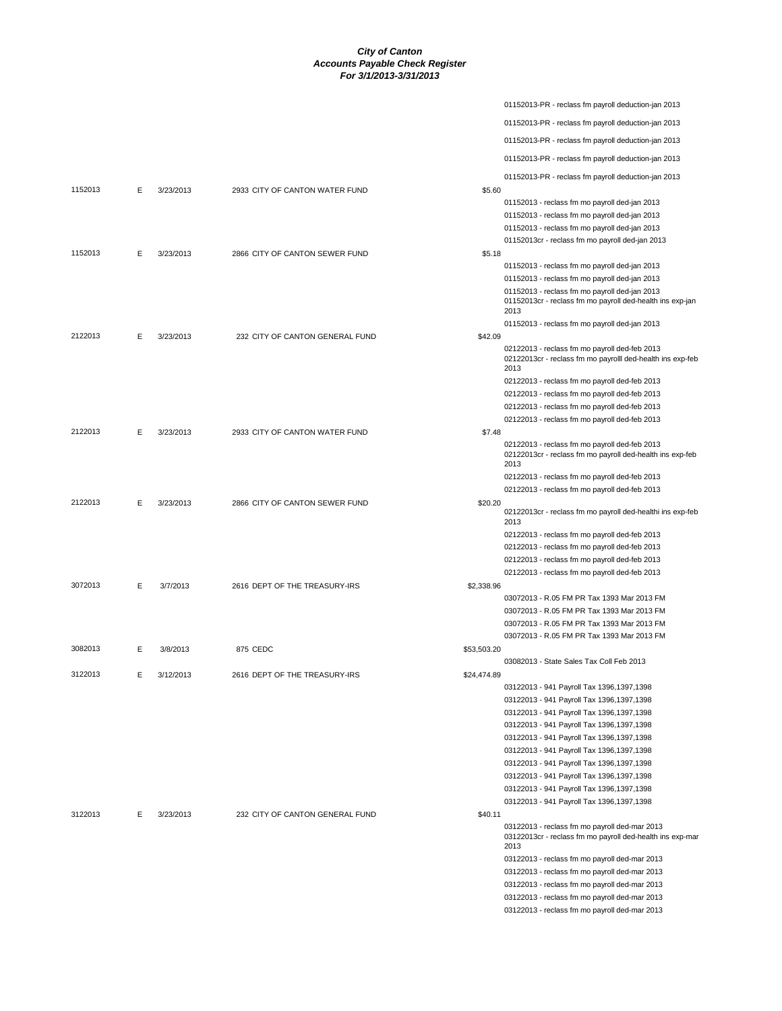|         |   |           |                                 | 01152013-PR - reclass fm payroll deduction-jan 2013                                                                |
|---------|---|-----------|---------------------------------|--------------------------------------------------------------------------------------------------------------------|
|         |   |           |                                 | 01152013-PR - reclass fm payroll deduction-jan 2013                                                                |
|         |   |           |                                 | 01152013-PR - reclass fm payroll deduction-jan 2013                                                                |
|         |   |           |                                 | 01152013-PR - reclass fm payroll deduction-jan 2013                                                                |
|         |   |           |                                 | 01152013-PR - reclass fm payroll deduction-jan 2013                                                                |
| 1152013 | E | 3/23/2013 | 2933 CITY OF CANTON WATER FUND  | \$5.60                                                                                                             |
|         |   |           |                                 | 01152013 - reclass fm mo payroll ded-jan 2013                                                                      |
|         |   |           |                                 | 01152013 - reclass fm mo payroll ded-jan 2013                                                                      |
|         |   |           |                                 | 01152013 - reclass fm mo payroll ded-jan 2013                                                                      |
|         |   |           |                                 | 01152013cr - reclass fm mo payroll ded-jan 2013                                                                    |
| 1152013 | E | 3/23/2013 | 2866 CITY OF CANTON SEWER FUND  | \$5.18                                                                                                             |
|         |   |           |                                 | 01152013 - reclass fm mo payroll ded-jan 2013<br>01152013 - reclass fm mo payroll ded-jan 2013                     |
|         |   |           |                                 | 01152013 - reclass fm mo payroll ded-jan 2013                                                                      |
|         |   |           |                                 | 01152013cr - reclass fm mo payroll ded-health ins exp-jan<br>2013                                                  |
|         |   |           |                                 | 01152013 - reclass fm mo payroll ded-jan 2013                                                                      |
| 2122013 | Е | 3/23/2013 | 232 CITY OF CANTON GENERAL FUND | \$42.09<br>02122013 - reclass fm mo payroll ded-feb 2013                                                           |
|         |   |           |                                 | 02122013cr - reclass fm mo payrolll ded-health ins exp-feb<br>2013                                                 |
|         |   |           |                                 | 02122013 - reclass fm mo payroll ded-feb 2013                                                                      |
|         |   |           |                                 | 02122013 - reclass fm mo payroll ded-feb 2013                                                                      |
|         |   |           |                                 | 02122013 - reclass fm mo payroll ded-feb 2013                                                                      |
| 2122013 | E | 3/23/2013 | 2933 CITY OF CANTON WATER FUND  | 02122013 - reclass fm mo payroll ded-feb 2013<br>\$7.48                                                            |
|         |   |           |                                 | 02122013 - reclass fm mo payroll ded-feb 2013<br>02122013cr - reclass fm mo payroll ded-health ins exp-feb<br>2013 |
|         |   |           |                                 | 02122013 - reclass fm mo payroll ded-feb 2013                                                                      |
|         |   |           |                                 | 02122013 - reclass fm mo payroll ded-feb 2013                                                                      |
| 2122013 | Е | 3/23/2013 | 2866 CITY OF CANTON SEWER FUND  | \$20.20<br>02122013cr - reclass fm mo payroll ded-healthi ins exp-feb<br>2013                                      |
|         |   |           |                                 | 02122013 - reclass fm mo payroll ded-feb 2013                                                                      |
|         |   |           |                                 | 02122013 - reclass fm mo payroll ded-feb 2013                                                                      |
|         |   |           |                                 | 02122013 - reclass fm mo payroll ded-feb 2013                                                                      |
|         |   |           |                                 | 02122013 - reclass fm mo payroll ded-feb 2013                                                                      |
| 3072013 | E | 3/7/2013  | 2616 DEPT OF THE TREASURY-IRS   | \$2,338.96<br>03072013 - R.05 FM PR Tax 1393 Mar 2013 FM                                                           |
|         |   |           |                                 | 03072013 - R.05 FM PR Tax 1393 Mar 2013 FM                                                                         |
|         |   |           |                                 | 03072013 - R.05 FM PR Tax 1393 Mar 2013 FM                                                                         |
|         |   |           |                                 | 03072013 - R.05 FM PR Tax 1393 Mar 2013 FM                                                                         |
| 3082013 | Е | 3/8/2013  | 875 CEDC                        | \$53,503.20                                                                                                        |
|         |   |           |                                 | 03082013 - State Sales Tax Coll Feb 2013                                                                           |
| 3122013 | Е | 3/12/2013 | 2616 DEPT OF THE TREASURY-IRS   | \$24,474.89                                                                                                        |
|         |   |           |                                 | 03122013 - 941 Payroll Tax 1396,1397,1398<br>03122013 - 941 Payroll Tax 1396,1397,1398                             |
|         |   |           |                                 | 03122013 - 941 Payroll Tax 1396,1397,1398                                                                          |
|         |   |           |                                 | 03122013 - 941 Payroll Tax 1396,1397,1398                                                                          |
|         |   |           |                                 | 03122013 - 941 Payroll Tax 1396,1397,1398                                                                          |
|         |   |           |                                 | 03122013 - 941 Payroll Tax 1396,1397,1398                                                                          |
|         |   |           |                                 | 03122013 - 941 Payroll Tax 1396,1397,1398                                                                          |
|         |   |           |                                 | 03122013 - 941 Payroll Tax 1396,1397,1398                                                                          |
|         |   |           |                                 | 03122013 - 941 Payroll Tax 1396,1397,1398                                                                          |
|         |   |           |                                 | 03122013 - 941 Payroll Tax 1396,1397,1398                                                                          |
| 3122013 | E | 3/23/2013 | 232 CITY OF CANTON GENERAL FUND | \$40.11<br>03122013 - reclass fm mo payroll ded-mar 2013                                                           |
|         |   |           |                                 | 03122013cr - reclass fm mo payroll ded-health ins exp-mar<br>2013                                                  |
|         |   |           |                                 | 03122013 - reclass fm mo payroll ded-mar 2013                                                                      |
|         |   |           |                                 | 03122013 - reclass fm mo payroll ded-mar 2013                                                                      |
|         |   |           |                                 | 03122013 - reclass fm mo payroll ded-mar 2013                                                                      |
|         |   |           |                                 | 03122013 - reclass fm mo payroll ded-mar 2013                                                                      |
|         |   |           |                                 | 03122013 - reclass fm mo payroll ded-mar 2013                                                                      |